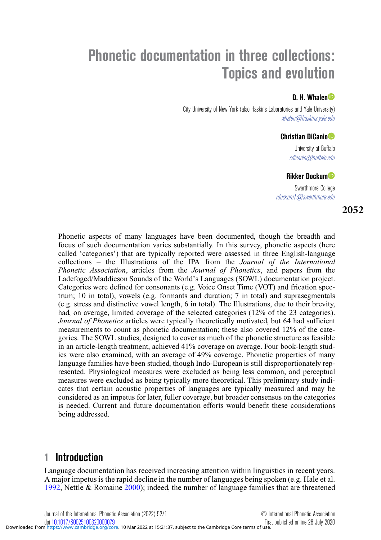# **Phonetic documentation in three collections: Topics and evolution**

### **D. H. Whale[n](https://orcid.org/0000-0003-3974-0084)**

City University of New York (also Haskins Laboratories and Yale University) whalen@haskins.yale.edu

#### **Christian DiCani[o](https://orcid.org/0000-0001-9164-188X)**

University at Buffalo cdicanio@buffalo.edu

#### **Rikker Docku[m](https://orcid.org/0000-0002-6640-808X)**

Swarthmore College rdockum1@swarthmore.edu

**2052**

Phonetic aspects of many languages have been documented, though the breadth and focus of such documentation varies substantially. In this survey, phonetic aspects (here called 'categories') that are typically reported were assessed in three English-language collections – the Illustrations of the IPA from the *Journal of the International Phonetic Association*, articles from the *Journal of Phonetics*, and papers from the Ladefoged/Maddieson Sounds of the World's Languages (SOWL) documentation project. Categories were defined for consonants (e.g. Voice Onset Time (VOT) and frication spectrum; 10 in total), vowels (e.g. formants and duration; 7 in total) and suprasegmentals (e.g. stress and distinctive vowel length, 6 in total). The Illustrations, due to their brevity, had, on average, limited coverage of the selected categories (12% of the 23 categories). *Journal of Phonetics* articles were typically theoretically motivated, but 64 had sufficient measurements to count as phonetic documentation; these also covered 12% of the categories. The SOWL studies, designed to cover as much of the phonetic structure as feasible in an article-length treatment, achieved 41% coverage on average. Four book-length studies were also examined, with an average of 49% coverage. Phonetic properties of many language families have been studied, though Indo-European is still disproportionately represented. Physiological measures were excluded as being less common, and perceptual measures were excluded as being typically more theoretical. This preliminary study indicates that certain acoustic properties of languages are typically measured and may be considered as an impetus for later, fuller coverage, but broader consensus on the categories is needed. Current and future documentation efforts would benefit these considerations being addressed.

# **1 Introduction**

Language documentation has received increasing attention within linguistics in recent years. A major impetus is the rapid decline in the number of languages being spoken (e.g. Hale et al. [1992,](#page-25-0) Nettle & Romaine [2000\)](#page-26-0); indeed, the number of language families that are threatened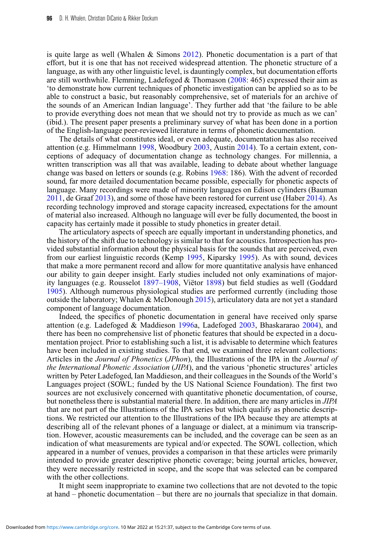is quite large as well (Whalen  $\&$  Simons [2012\)](#page-26-1). Phonetic documentation is a part of that effort, but it is one that has not received widespread attention. The phonetic structure of a language, as with any other linguistic level, is dauntingly complex, but documentation efforts are still worthwhile. Flemming, Ladefoged & Thomason  $(2008: 465)$  $(2008: 465)$  expressed their aim as 'to demonstrate how current techniques of phonetic investigation can be applied so as to be able to construct a basic, but reasonably comprehensive, set of materials for an archive of the sounds of an American Indian language'. They further add that 'the failure to be able to provide everything does not mean that we should not try to provide as much as we can' (ibid.). The present paper presents a preliminary survey of what has been done in a portion of the English-language peer-reviewed literature in terms of phonetic documentation.

The details of what constitutes ideal, or even adequate, documentation has also received attention (e.g. Himmelmann [1998,](#page-25-2) Woodbury [2003,](#page-26-2) Austin [2014\)](#page-24-0). To a certain extent, conceptions of adequacy of documentation change as technology changes. For millennia, a written transcription was all that was available, leading to debate about whether language change was based on letters or sounds (e.g. Robins [1968:](#page-26-3) 186). With the advent of recorded sound, far more detailed documentation became possible, especially for phonetic aspects of language. Many recordings were made of minority languages on Edison cylinders (Bauman [2011,](#page-24-1) de Graaf [2013\)](#page-25-3), and some of those have been restored for current use (Haber [2014\)](#page-25-4). As recording technology improved and storage capacity increased, expectations for the amount of material also increased. Although no language will ever be fully documented, the boost in capacity has certainly made it possible to study phonetics in greater detail.

The articulatory aspects of speech are equally important in understanding phonetics, and the history of the shift due to technology is similar to that for acoustics. Introspection has provided substantial information about the physical basis for the sounds that are perceived, even from our earliest linguistic records (Kemp [1995,](#page-25-5) Kiparsky [1995\)](#page-25-6). As with sound, devices that make a more permanent record and allow for more quantitative analysis have enhanced our ability to gain deeper insight. Early studies included not only examinations of majority languages (e.g. Rousselot [1897–1908,](#page-26-4) Viëtor [1898\)](#page-26-5) but field studies as well (Goddard [1905\)](#page-25-7). Although numerous physiological studies are performed currently (including those outside the laboratory; Whalen & McDonough [2015\)](#page-26-6), articulatory data are not yet a standard component of language documentation.

Indeed, the specifics of phonetic documentation in general have received only sparse attention (e.g. Ladefoged & Maddieson [1996a](#page-26-7), Ladefoged [2003,](#page-26-8) Bhaskararao [2004\)](#page-24-2), and there has been no comprehensive list of phonetic features that should be expected in a documentation project. Prior to establishing such a list, it is advisable to determine which features have been included in existing studies. To that end, we examined three relevant collections: Articles in the *Journal of Phonetics* (*JPhon*), the Illustrations of the IPA in the *Journal of the International Phonetic Association* (*JIPA*), and the various 'phonetic structures' articles written by Peter Ladefoged, Ian Maddieson, and their colleagues in the Sounds of the World's Languages project (SOWL; funded by the US National Science Foundation). The first two sources are not exclusively concerned with quantitative phonetic documentation, of course, but nonetheless there is substantial material there. In addition, there are many articles in *JIPA* that are not part of the Illustrations of the IPA series but which qualify as phonetic descriptions. We restricted our attention to the Illustrations of the IPA because they are attempts at describing all of the relevant phones of a language or dialect, at a minimum via transcription. However, acoustic measurements can be included, and the coverage can be seen as an indication of what measurements are typical and/or expected. The SOWL collection, which appeared in a number of venues, provides a comparison in that these articles were primarily intended to provide greater descriptive phonetic coverage; being journal articles, however, they were necessarily restricted in scope, and the scope that was selected can be compared with the other collections.

It might seem inappropriate to examine two collections that are not devoted to the topic at hand – phonetic documentation – but there are no journals that specialize in that domain.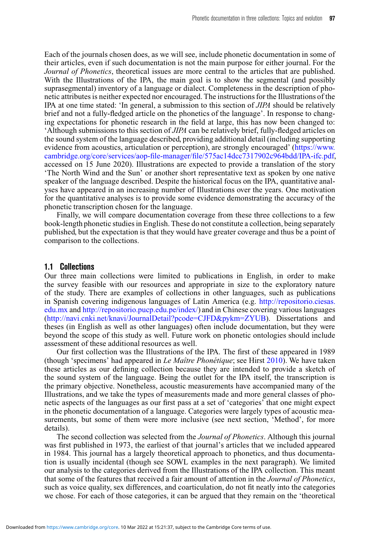Each of the journals chosen does, as we will see, include phonetic documentation in some of their articles, even if such documentation is not the main purpose for either journal. For the *Journal of Phonetics*, theoretical issues are more central to the articles that are published. With the Illustrations of the IPA, the main goal is to show the segmental (and possibly suprasegmental) inventory of a language or dialect. Completeness in the description of phonetic attributes is neither expected nor encouraged. The instructions for the Illustrations of the IPA at one time stated: 'In general, a submission to this section of *JIPA* should be relatively brief and not a fully-fledged article on the phonetics of the language'. In response to changing expectations for phonetic research in the field at large, this has now been changed to: 'Although submissions to this section of *JIPA* can be relatively brief, fully-fledged articles on the sound system of the language described, providing additional detail (including supporting evidence from acoustics, articulation or perception), are strongly encouraged' [\(https://www.](https://www.cambridge.org/core/services/aop-file-manager/file/575ac14dcc7317902c964bdd/IPA-ifc.pdf) [cambridge.org/core/services/aop-file-manager/file/575ac14dcc7317902c964bdd/IPA-ifc.pdf,](https://www.cambridge.org/core/services/aop-file-manager/file/575ac14dcc7317902c964bdd/IPA-ifc.pdf) accessed on 15 June 2020). Illustrations are expected to provide a translation of the story 'The North Wind and the Sun' or another short representative text as spoken by one native speaker of the language described. Despite the historical focus on the IPA, quantitative analyses have appeared in an increasing number of Illustrations over the years. One motivation for the quantitative analyses is to provide some evidence demonstrating the accuracy of the phonetic transcription chosen for the language.

Finally, we will compare documentation coverage from these three collections to a few book-length phonetic studies in English. These do not constitute a collection, being separately published, but the expectation is that they would have greater coverage and thus be a point of comparison to the collections.

#### **1.1 Collections**

Our three main collections were limited to publications in English, in order to make the survey feasible with our resources and appropriate in size to the exploratory nature of the study. There are examples of collections in other languages, such as publications in Spanish covering indigenous languages of Latin America (e.g. [http://repositorio.ciesas.](http://repositorio.ciesas.edu.mx) [edu.mx](http://repositorio.ciesas.edu.mx) and [http://repositorio.pucp.edu.pe/index/\)](http://repositorio.pucp.edu.pe/index/) and in Chinese covering various languages [\(http://navi.cnki.net/knavi/JournalDetail?pcode=CJFD&pykm=ZYUB\)](http://navi.cnki.net/knavi/JournalDetail?pcode=CJFD&pykm=ZYUB). Dissertations and theses (in English as well as other languages) often include documentation, but they were beyond the scope of this study as well. Future work on phonetic ontologies should include assessment of these additional resources as well.

Our first collection was the Illustrations of the IPA. The first of these appeared in 1989 (though 'specimens' had appeared in *Le Maître Phonétique*; see Hirst [2010\)](#page-25-8). We have taken these articles as our defining collection because they are intended to provide a sketch of the sound system of the language. Being the outlet for the IPA itself, the transcription is the primary objective. Nonetheless, acoustic measurements have accompanied many of the Illustrations, and we take the types of measurements made and more general classes of phonetic aspects of the languages as our first pass at a set of 'categories' that one might expect in the phonetic documentation of a language. Categories were largely types of acoustic measurements, but some of them were more inclusive (see next section, 'Method', for more details).

The second collection was selected from the *Journal of Phonetics*. Although this journal was first published in 1973, the earliest of that journal's articles that we included appeared in 1984. This journal has a largely theoretical approach to phonetics, and thus documentation is usually incidental (though see SOWL examples in the next paragraph). We limited our analysis to the categories derived from the Illustrations of the IPA collection. This meant that some of the features that received a fair amount of attention in the *Journal of Phonetics*, such as voice quality, sex differences, and coarticulation, do not fit neatly into the categories we chose. For each of those categories, it can be argued that they remain on the 'theoretical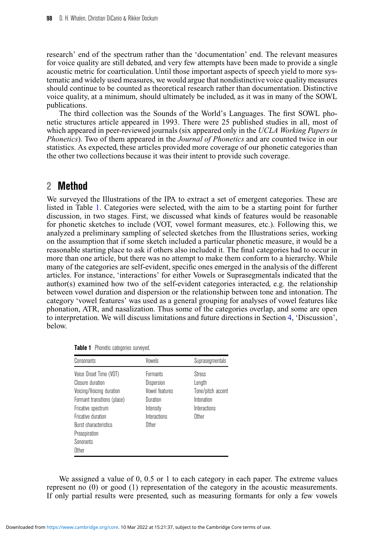research' end of the spectrum rather than the 'documentation' end. The relevant measures for voice quality are still debated, and very few attempts have been made to provide a single acoustic metric for coarticulation. Until those important aspects of speech yield to more systematic and widely used measures, we would argue that nondistinctive voice quality measures should continue to be counted as theoretical research rather than documentation. Distinctive voice quality, at a minimum, should ultimately be included, as it was in many of the SOWL publications.

The third collection was the Sounds of the World's Languages. The first SOWL phonetic structures article appeared in 1993. There were 25 published studies in all, most of which appeared in peer-reviewed journals (six appeared only in the *UCLA Working Papers in Phonetics*). Two of them appeared in the *Journal of Phonetics* and are counted twice in our statistics. As expected, these articles provided more coverage of our phonetic categories than the other two collections because it was their intent to provide such coverage.

# <span id="page-3-1"></span>**2 Method**

We surveyed the Illustrations of the IPA to extract a set of emergent categories. These are listed in Table [1.](#page-3-0) Categories were selected, with the aim to be a starting point for further discussion, in two stages. First, we discussed what kinds of features would be reasonable for phonetic sketches to include (VOT, vowel formant measures, etc.). Following this, we analyzed a preliminary sampling of selected sketches from the Illustrations series, working on the assumption that if some sketch included a particular phonetic measure, it would be a reasonable starting place to ask if others also included it. The final categories had to occur in more than one article, but there was no attempt to make them conform to a hierarchy. While many of the categories are self-evident, specific ones emerged in the analysis of the different articles. For instance, 'interactions' for either Vowels or Suprasegmentals indicated that the author(s) examined how two of the self-evident categories interacted, e.g. the relationship between vowel duration and dispersion or the relationship between tone and intonation. The category 'vowel features' was used as a general grouping for analyses of vowel features like phonation, ATR, and nasalization. Thus some of the categories overlap, and some are open to interpretation. We will discuss limitations and future directions in Section [4,](#page-10-0) 'Discussion', below.

| Consonants                   | Vowels          | Suprasegmentals   |
|------------------------------|-----------------|-------------------|
| Voice Onset Time (VOT)       | <b>Formants</b> | Stress            |
| Closure duration             | Dispersion      | Length            |
| Voicing/Voicing duration     | Vowel features  | Tone/pitch accent |
| Formant transitions (place)  | Duration        | Intonation        |
| Fricative spectrum           | Intensity       | Interactions      |
| Fricative duration           | Interactions    | <b>Other</b>      |
| <b>Burst characteristics</b> | <b>Other</b>    |                   |
| Preaspiration                |                 |                   |
| Sonorants                    |                 |                   |
| Other                        |                 |                   |

<span id="page-3-0"></span>**Table 1** Phonetic categories surveyed.

We assigned a value of 0, 0.5 or 1 to each category in each paper. The extreme values represent no (0) or good (1) representation of the category in the acoustic measurements. If only partial results were presented, such as measuring formants for only a few vowels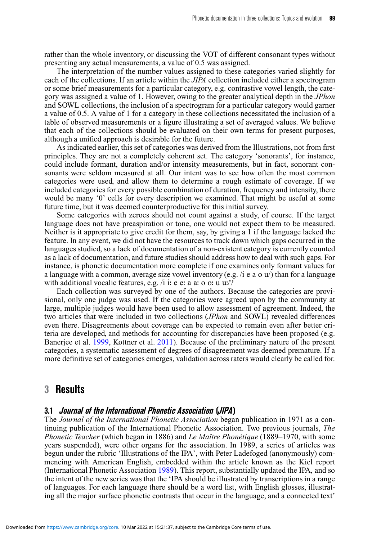rather than the whole inventory, or discussing the VOT of different consonant types without presenting any actual measurements, a value of 0.5 was assigned.

The interpretation of the number values assigned to these categories varied slightly for each of the collections. If an article within the *JIPA* collection included either a spectrogram or some brief measurements for a particular category, e.g. contrastive vowel length, the category was assigned a value of 1. However, owing to the greater analytical depth in the *JPhon* and SOWL collections, the inclusion of a spectrogram for a particular category would garner a value of 0.5. A value of 1 for a category in these collections necessitated the inclusion of a table of observed measurements or a figure illustrating a set of averaged values. We believe that each of the collections should be evaluated on their own terms for present purposes, although a unified approach is desirable for the future.

As indicated earlier, this set of categories was derived from the Illustrations, not from first principles. They are not a completely coherent set. The category 'sonorants', for instance, could include formant, duration and/or intensity measurements, but in fact, sonorant consonants were seldom measured at all. Our intent was to see how often the most common categories were used, and allow them to determine a rough estimate of coverage. If we included categories for every possible combination of duration, frequency and intensity, there would be many '0' cells for every description we examined. That might be useful at some future time, but it was deemed counterproductive for this initial survey.

Some categories with zeroes should not count against a study, of course. If the target language does not have preaspiration or tone, one would not expect them to be measured. Neither is it appropriate to give credit for them, say, by giving a 1 if the language lacked the feature. In any event, we did not have the resources to track down which gaps occurred in the languages studied, so a lack of documentation of a non-existent category is currently counted as a lack of documentation, and future studies should address how to deal with such gaps. For instance, is phonetic documentation more complete if one examines only formant values for a language with a common, average size vowel inventory (e.g. /i e a o  $u$ ) than for a language with additional vocalic features, e.g.  $\pi$  i: e e: a a: o o: u u:/?

Each collection was surveyed by one of the authors. Because the categories are provisional, only one judge was used. If the categories were agreed upon by the community at large, multiple judges would have been used to allow assessment of agreement. Indeed, the two articles that were included in two collections (*JPhon* and SOWL) revealed differences even there. Disagreements about coverage can be expected to remain even after better criteria are developed, and methods for accounting for discrepancies have been proposed (e.g. Banerjee et al. [1999,](#page-24-3) Kottner et al. [2011\)](#page-25-9). Because of the preliminary nature of the present categories, a systematic assessment of degrees of disagreement was deemed premature. If a more definitive set of categories emerges, validation across raters would clearly be called for.

## **3 Results**

#### **3.1 Journal of the International Phonetic Association (JIPA)**

The *Journal of the International Phonetic Association* began publication in 1971 as a continuing publication of the International Phonetic Association. Two previous journals, *The Phonetic Teacher* (which began in 1886) and *Le Maître Phonétique* (1889–1970, with some years suspended), were other organs for the association. In 1989, a series of articles was begun under the rubric 'Illustrations of the IPA', with Peter Ladefoged (anonymously) commencing with American English, embedded within the article known as the Kiel report (International Phonetic Association [1989\)](#page-25-10). This report, substantially updated the IPA, and so the intent of the new series was that the 'IPA should be illustrated by transcriptions in a range of languages. For each language there should be a word list, with English glosses, illustrating all the major surface phonetic contrasts that occur in the language, and a connected text'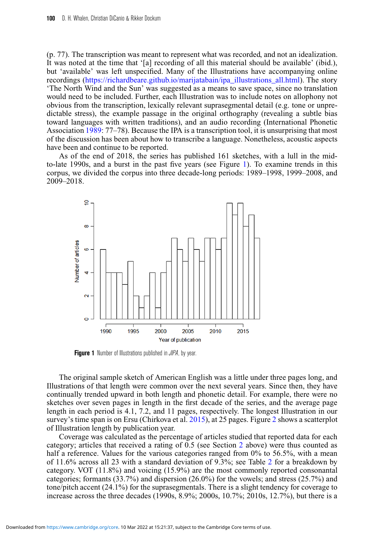(p. 77). The transcription was meant to represent what was recorded, and not an idealization. It was noted at the time that '[a] recording of all this material should be available' (ibid.), but 'available' was left unspecified. Many of the Illustrations have accompanying online recordings [\(https://richardbeare.github.io/marijatabain/ipa\\_illustrations\\_all.html\)](https://richardbeare.github.io/marijatabain/ipa_illustrations_all.html). The story 'The North Wind and the Sun' was suggested as a means to save space, since no translation would need to be included. Further, each Illustration was to include notes on allophony not obvious from the transcription, lexically relevant suprasegmental detail (e.g. tone or unpredictable stress), the example passage in the original orthography (revealing a subtle bias toward languages with written traditions), and an audio recording (International Phonetic Association [1989:](#page-25-10) 77–78). Because the IPA is a transcription tool, it is unsurprising that most of the discussion has been about how to transcribe a language. Nonetheless, acoustic aspects have been and continue to be reported.

As of the end of 2018, the series has published 161 sketches, with a lull in the midto-late 1990s, and a burst in the past five years (see Figure [1\)](#page-5-0). To examine trends in this corpus, we divided the corpus into three decade-long periods: 1989–1998, 1999–2008, and 2009–2018.

<span id="page-5-0"></span>

**Figure 1** Number of Illustrations published in *JIPA*, by year.

The original sample sketch of American English was a little under three pages long, and Illustrations of that length were common over the next several years. Since then, they have continually trended upward in both length and phonetic detail. For example, there were no sketches over seven pages in length in the first decade of the series, and the average page length in each period is 4.1, 7.2, and 11 pages, respectively. The longest Illustration in our survey's time span is on Ersu (Chirkova et al. [2015\)](#page-24-4), at [2](#page-6-0)5 pages. Figure 2 shows a scatterplot of Illustration length by publication year.

Coverage was calculated as the percentage of articles studied that reported data for each category; articles that received a rating of 0.5 (see Section [2](#page-3-1) above) were thus counted as half a reference. Values for the various categories ranged from 0% to 56.5%, with a mean of 11.6% across all 23 with a standard deviation of 9.3%; see Table [2](#page-6-1) for a breakdown by category. VOT (11.8%) and voicing (15.9%) are the most commonly reported consonantal categories; formants (33.7%) and dispersion (26.0%) for the vowels; and stress (25.7%) and tone/pitch accent (24.1%) for the suprasegmentals. There is a slight tendency for coverage to increase across the three decades (1990s, 8.9%; 2000s, 10.7%; 2010s, 12.7%), but there is a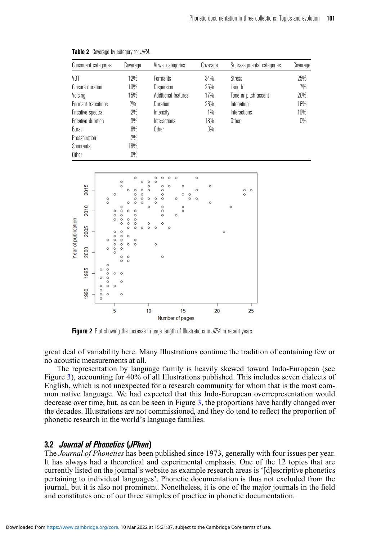| Consonant categories | Coverage | Vowel categories    | Coverage | Suprasegmental categories | Coverage |
|----------------------|----------|---------------------|----------|---------------------------|----------|
| VOT                  | 12%      | <b>Formants</b>     | 34%      | Stress                    | 25%      |
| Closure duration     | 10%      | Dispersion          | 25%      | Length                    | 7%       |
| Voicing              | 15%      | Additional features | 17%      | Tone or pitch accent      | 26%      |
| Formant transitions  | 2%       | Duration            | 26%      | Intonation                | 16%      |
| Fricative spectra    | $2\%$    | Intensity           | $1\%$    | Interactions              | 16%      |
| Fricative duration   | $3\%$    | Interactions        | 18%      | Other                     | 0%       |
| Burst                | 8%       | Other               | 0%       |                           |          |
| Preaspiration        | 2%       |                     |          |                           |          |
| Sonorants            | 18%      |                     |          |                           |          |
| Other                | 0%       |                     |          |                           |          |

<span id="page-6-1"></span>**Table 2** Coverage by category for JIPA.

<span id="page-6-0"></span>

**Figure 2** Plot showing the increase in page length of Illustrations in *JIPA* in recent years.

great deal of variability here. Many Illustrations continue the tradition of containing few or no acoustic measurements at all.

The representation by language family is heavily skewed toward Indo-European (see Figure [3\)](#page-7-0), accounting for 40% of all Illustrations published. This includes seven dialects of English, which is not unexpected for a research community for whom that is the most common native language. We had expected that this Indo-European overrepresentation would decrease over time, but, as can be seen in Figure [3,](#page-7-0) the proportions have hardly changed over the decades. Illustrations are not commissioned, and they do tend to reflect the proportion of phonetic research in the world's language families.

#### **3.2 Journal of Phonetics (JPhon)**

The *Journal of Phonetics* has been published since 1973, generally with four issues per year. It has always had a theoretical and experimental emphasis. One of the 12 topics that are currently listed on the journal's website as example research areas is '[d]escriptive phonetics pertaining to individual languages'. Phonetic documentation is thus not excluded from the journal, but it is also not prominent. Nonetheless, it is one of the major journals in the field and constitutes one of our three samples of practice in phonetic documentation.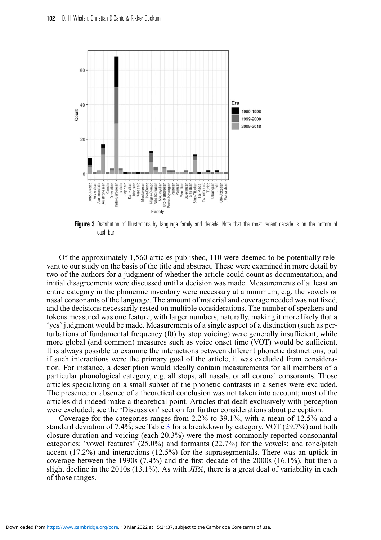<span id="page-7-0"></span>

**Figure 3** Distribution of Illustrations by language family and decade. Note that the most recent decade is on the bottom of each bar.

Of the approximately 1,560 articles published, 110 were deemed to be potentially relevant to our study on the basis of the title and abstract. These were examined in more detail by two of the authors for a judgment of whether the article could count as documentation, and initial disagreements were discussed until a decision was made. Measurements of at least an entire category in the phonemic inventory were necessary at a minimum, e.g. the vowels or nasal consonants of the language. The amount of material and coverage needed was not fixed, and the decisions necessarily rested on multiple considerations. The number of speakers and tokens measured was one feature, with larger numbers, naturally, making it more likely that a 'yes' judgment would be made. Measurements of a single aspect of a distinction (such as perturbations of fundamental frequency  $(f0)$  by stop voicing) were generally insufficient, while more global (and common) measures such as voice onset time (VOT) would be sufficient. It is always possible to examine the interactions between different phonetic distinctions, but if such interactions were the primary goal of the article, it was excluded from consideration. For instance, a description would ideally contain measurements for all members of a particular phonological category, e.g. all stops, all nasals, or all coronal consonants. Those articles specializing on a small subset of the phonetic contrasts in a series were excluded. The presence or absence of a theoretical conclusion was not taken into account; most of the articles did indeed make a theoretical point. Articles that dealt exclusively with perception were excluded; see the 'Discussion' section for further considerations about perception.

Coverage for the categories ranges from 2.2% to 39.1%, with a mean of 12.5% and a standard deviation of 7.4%; see Table [3](#page-8-0) for a breakdown by category. VOT (29.7%) and both closure duration and voicing (each 20.3%) were the most commonly reported consonantal categories; 'vowel features' (25.0%) and formants (22.7%) for the vowels; and tone/pitch accent (17.2%) and interactions (12.5%) for the suprasegmentals. There was an uptick in coverage between the 1990s (7.4%) and the first decade of the 2000s (16.1%), but then a slight decline in the 2010s (13.1%). As with *JIPA*, there is a great deal of variability in each of those ranges.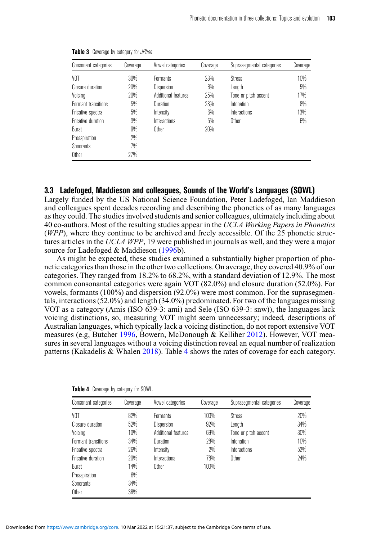| Consonant categories | Coverage | Vowel categories    | Coverage | Suprasegmental categories | Coverage |
|----------------------|----------|---------------------|----------|---------------------------|----------|
| VOT                  | 30%      | <b>Formants</b>     | 23%      | Stress                    | 10%      |
| Closure duration     | 20%      | <b>Dispersion</b>   | 6%       | Length                    | 5%       |
| Voicing              | 20%      | Additional features | 25%      | Tone or pitch accent      | 17%      |
| Formant transitions  | 5%       | Duration            | 23%      | Intonation                | 8%       |
| Fricative spectra    | 5%       | Intensity           | 6%       | Interactions              | 13%      |
| Fricative duration   | $3\%$    | Interactions        | 5%       | Other                     | $6\%$    |
| Burst                | 9%       | Other               | 20%      |                           |          |
| Preaspiration        | $2\%$    |                     |          |                           |          |
| Sonorants            | 7%       |                     |          |                           |          |
| Other                | 27%      |                     |          |                           |          |

<span id="page-8-0"></span>**Table 3** Coverage by category for JPhon.

#### **3.3 Ladefoged, Maddieson and colleagues, Sounds of the World's Languages (SOWL)**

Largely funded by the US National Science Foundation, Peter Ladefoged, Ian Maddieson and colleagues spent decades recording and describing the phonetics of as many languages as they could. The studies involved students and senior colleagues, ultimately including about 40 co-authors. Most of the resulting studies appear in the *UCLA Working Papers in Phonetics* (*WPP*), where they continue to be archived and freely accessible. Of the 25 phonetic structures articles in the *UCLA WPP*, 19 were published in journals as well, and they were a major source for Ladefoged & Maddieson [\(1996b](#page-26-9)).

As might be expected, these studies examined a substantially higher proportion of phonetic categories than those in the other two collections. On average, they covered 40.9% of our categories. They ranged from 18.2% to 68.2%, with a standard deviation of 12.9%. The most common consonantal categories were again VOT (82.0%) and closure duration (52.0%). For vowels, formants (100%) and dispersion (92.0%) were most common. For the suprasegmentals, interactions (52.0%) and length (34.0%) predominated. For two of the languages missing VOT as a category (Amis (ISO 639-3: ami) and Sele (ISO 639-3: snw)), the languages lack voicing distinctions, so, measuring VOT might seem unnecessary; indeed, descriptions of Australian languages, which typically lack a voicing distinction, do not report extensive VOT measures (e.g, Butcher [1996,](#page-24-5) Bowern, McDonough & Kelliher [2012\)](#page-24-6). However, VOT measures in several languages without a voicing distinction reveal an equal number of realization patterns (Kakadelis & Whalen [2018\)](#page-25-11). Table [4](#page-8-1) shows the rates of coverage for each category.

| Consonant categories | Coverage | Vowel categories    | Coverage | Suprasegmental categories | Coverage |
|----------------------|----------|---------------------|----------|---------------------------|----------|
| VOT                  | 82%      | <b>Formants</b>     | 100%     | Stress                    | 20%      |
| Closure duration     | 52%      | Dispersion          | 92%      | Length                    | 34%      |
| Voicing              | 10%      | Additional features | 69%      | Tone or pitch accent      | 30%      |
| Formant transitions  | 34%      | Duration            | 28%      | Intonation                | 10%      |
| Fricative spectra    | 26%      | Intensity           | $2\%$    | Interactions              | 52%      |
| Fricative duration   | 20%      | Interactions        | 78%      | Other                     | 24%      |
| Burst                | 14%      | Other               | 100%     |                           |          |
| Preaspiration        | $6\%$    |                     |          |                           |          |
| Sonorants            | 34%      |                     |          |                           |          |
| Other                | 38%      |                     |          |                           |          |

<span id="page-8-1"></span>**Table 4** Coverage by category for SOWL.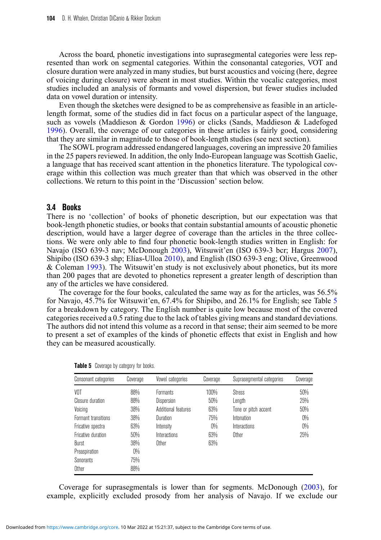Across the board, phonetic investigations into suprasegmental categories were less represented than work on segmental categories. Within the consonantal categories, VOT and closure duration were analyzed in many studies, but burst acoustics and voicing (here, degree of voicing during closure) were absent in most studies. Within the vocalic categories, most studies included an analysis of formants and vowel dispersion, but fewer studies included data on vowel duration or intensity.

Even though the sketches were designed to be as comprehensive as feasible in an articlelength format, some of the studies did in fact focus on a particular aspect of the language, such as vowels (Maddieson & Gordon [1996\)](#page-26-10) or clicks (Sands, Maddieson & Ladefoged [1996\)](#page-26-11). Overall, the coverage of our categories in these articles is fairly good, considering that they are similar in magnitude to those of book-length studies (see next section).

The SOWL program addressed endangered languages, covering an impressive 20 families in the 25 papers reviewed. In addition, the only Indo-European language was Scottish Gaelic, a language that has received scant attention in the phonetics literature. The typological coverage within this collection was much greater than that which was observed in the other collections. We return to this point in the 'Discussion' section below.

#### **3.4 Books**

There is no 'collection' of books of phonetic description, but our expectation was that book-length phonetic studies, or books that contain substantial amounts of acoustic phonetic description, would have a larger degree of coverage than the articles in the three collections. We were only able to find four phonetic book-length studies written in English: for Navajo (ISO 639-3 nav; McDonough [2003\)](#page-26-12), Witsuwit'en (ISO 639-3 bcr; Hargus [2007\)](#page-25-12), Shipibo (ISO 639-3 shp; Elías-Ulloa [2010\)](#page-25-13), and English (ISO 639-3 eng; Olive, Greenwood & Coleman [1993\)](#page-26-13). The Witsuwit'en study is not exclusively about phonetics, but its more than 200 pages that are devoted to phonetics represent a greater length of description than any of the articles we have considered.

The coverage for the four books, calculated the same way as for the articles, was 56.5% for Navajo, 45.7% for Witsuwit'en, 67.4% for Shipibo, and 26.1% for English; see Table [5](#page-9-0) for a breakdown by category. The English number is quite low because most of the covered categories received a 0.5 rating due to the lack of tables giving means and standard deviations. The authors did not intend this volume as a record in that sense; their aim seemed to be more to present a set of examples of the kinds of phonetic effects that exist in English and how they can be measured acoustically.

| Consonant categories | Coverage | Vowel categories    | Coverage | Suprasegmental categories | Coverage |
|----------------------|----------|---------------------|----------|---------------------------|----------|
| VOT                  | 88%      | <b>Formants</b>     | 100%     | Stress                    | 50%      |
| Closure duration     | 88%      | <b>Dispersion</b>   | 50%      | Length                    | 25%      |
| Voicing              | 38%      | Additional features | 63%      | Tone or pitch accent      | 50%      |
| Formant transitions  | 38%      | Duration            | 75%      | Intonation                | 0%       |
| Fricative spectra    | 63%      | Intensity           | $0\%$    | Interactions              | 0%       |
| Fricative duration   | 50%      | Interactions        | 63%      | Other                     | 25%      |
| Burst                | 38%      | Other               | 63%      |                           |          |
| Preaspiration        | 0%       |                     |          |                           |          |
| Sonorants            | 75%      |                     |          |                           |          |
| Other                | 88%      |                     |          |                           |          |

<span id="page-9-0"></span>**Table 5** Coverage by category for books.

Coverage for suprasegmentals is lower than for segments. McDonough [\(2003\)](#page-26-12), for example, explicitly excluded prosody from her analysis of Navajo. If we exclude our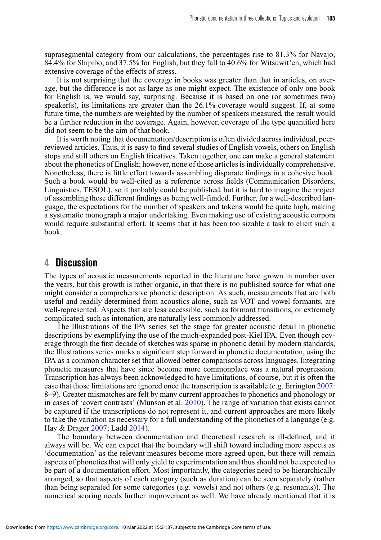suprasegmental category from our calculations, the percentages rise to 81.3% for Navajo, 84.4% for Shipibo, and 37.5% for English, but they fall to 40.6% for Witsuwit'en, which had extensive coverage of the effects of stress.

It is not surprising that the coverage in books was greater than that in articles, on average, but the difference is not as large as one might expect. The existence of only one book for English is, we would say, surprising. Because it is based on one (or sometimes two) speaker(s), its limitations are greater than the  $26.1\%$  coverage would suggest. If, at some future time, the numbers are weighted by the number of speakers measured, the result would be a further reduction in the coverage. Again, however, coverage of the type quantified here did not seem to be the aim of that book.

It is worth noting that documentation/description is often divided across individual, peerreviewed articles. Thus, it is easy to find several studies of English vowels, others on English stops and still others on English fricatives. Taken together, one can make a general statement about the phonetics of English; however, none of those articles is individually comprehensive. Nonetheless, there is little effort towards assembling disparate findings in a cohesive book. Such a book would be well-cited as a reference across fields (Communication Disorders, Linguistics, TESOL), so it probably could be published, but it is hard to imagine the project of assembling these different findings as being well-funded. Further, for a well-described language, the expectations for the number of speakers and tokens would be quite high, making a systematic monograph a major undertaking. Even making use of existing acoustic corpora would require substantial effort. It seems that it has been too sizable a task to elicit such a book.

## <span id="page-10-0"></span>**4 Discussion**

The types of acoustic measurements reported in the literature have grown in number over the years, but this growth is rather organic, in that there is no published source for what one might consider a comprehensive phonetic description. As such, measurements that are both useful and readily determined from acoustics alone, such as VOT and vowel formants, are well-represented. Aspects that are less accessible, such as formant transitions, or extremely complicated, such as intonation, are naturally less commonly addressed.

The Illustrations of the IPA series set the stage for greater acoustic detail in phonetic descriptions by exemplifying the use of the much-expanded post-Kiel IPA. Even though coverage through the first decade of sketches was sparse in phonetic detail by modern standards, the Illustrations series marks a significant step forward in phonetic documentation, using the IPA as a common character set that allowed better comparisons across languages. Integrating phonetic measures that have since become more commonplace was a natural progression. Transcription has always been acknowledged to have limitations, of course, but it is often the case that those limitations are ignored once the transcription is available (e.g. Errington [2007:](#page-25-14) 8–9). Greater mismatches are felt by many current approaches to phonetics and phonology or in cases of 'covert contrasts' (Munson et al.  $2010$ ). The range of variation that exists cannot be captured if the transcriptions do not represent it, and current approaches are more likely to take the variation as necessary for a full understanding of the phonetics of a language (e.g. Hay & Drager [2007;](#page-25-15) Ladd [2014\)](#page-26-15).

The boundary between documentation and theoretical research is ill-defined, and it always will be. We can expect that the boundary will shift toward including more aspects as 'documentation' as the relevant measures become more agreed upon, but there will remain aspects of phonetics that will only yield to experimentation and thus should not be expected to be part of a documentation effort. Most importantly, the categories need to be hierarchically arranged, so that aspects of each category (such as duration) can be seen separately (rather than being separated for some categories (e.g. vowels) and not others (e.g. resonants)). The numerical scoring needs further improvement as well. We have already mentioned that it is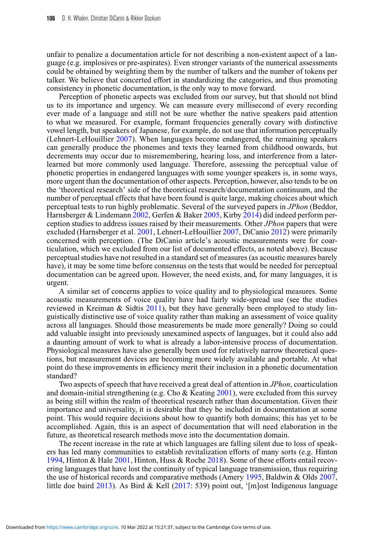unfair to penalize a documentation article for not describing a non-existent aspect of a language (e.g. implosives or pre-aspirates). Even stronger variants of the numerical assessments could be obtained by weighting them by the number of talkers and the number of tokens per talker. We believe that concerted effort in standardizing the categories, and thus promoting consistency in phonetic documentation, is the only way to move forward.

Perception of phonetic aspects was excluded from our survey, but that should not blind us to its importance and urgency. We can measure every millisecond of every recording ever made of a language and still not be sure whether the native speakers paid attention to what we measured. For example, formant frequencies generally covary with distinctive vowel length, but speakers of Japanese, for example, do not use that information perceptually (Lehnert-LeHouillier [2007\)](#page-26-16). When languages become endangered, the remaining speakers can generally produce the phonemes and texts they learned from childhood onwards, but decrements may occur due to misremembering, hearing loss, and interference from a laterlearned but more commonly used language. Therefore, assessing the perceptual value of phonetic properties in endangered languages with some younger speakers is, in some ways, more urgent than the documentation of other aspects. Perception, however, also tends to be on the 'theoretical research' side of the theoretical research/documentation continuum, and the number of perceptual effects that have been found is quite large, making choices about which perceptual tests to run highly problematic. Several of the surveyed papers in *JPhon* (Beddor, Harnsberger & Lindemann [2002,](#page-24-7) Gerfen & Baker [2005,](#page-25-16) Kirby [2014\)](#page-25-17) did indeed perform perception studies to address issues raised by their measurements. Other *JPhon* papers that were excluded (Harnsberger et al. [2001,](#page-25-18) Lehnert-LeHouillier [2007,](#page-26-16) DiCanio [2012\)](#page-25-19) were primarily concerned with perception. (The DiCanio article's acoustic measurements were for coarticulation, which we excluded from our list of documented effects, as noted above). Because perceptual studies have not resulted in a standard set of measures (as acoustic measures barely have), it may be some time before consensus on the tests that would be needed for perceptual documentation can be agreed upon. However, the need exists, and, for many languages, it is urgent.

A similar set of concerns applies to voice quality and to physiological measures. Some acoustic measurements of voice quality have had fairly wide-spread use (see the studies reviewed in Kreiman & Sidtis [2011\)](#page-25-20), but they have generally been employed to study linguistically distinctive use of voice quality rather than making an assessment of voice quality across all languages. Should those measurements be made more generally? Doing so could add valuable insight into previously unexamined aspects of languages, but it could also add a daunting amount of work to what is already a labor-intensive process of documentation. Physiological measures have also generally been used for relatively narrow theoretical questions, but measurement devices are becoming more widely available and portable. At what point do these improvements in efficiency merit their inclusion in a phonetic documentation standard?

Two aspects of speech that have received a great deal of attention in *JPhon*, coarticulation and domain-initial strengthening (e.g. Cho & Keating  $2001$ ), were excluded from this survey as being still within the realm of theoretical research rather than documentation. Given their importance and universality, it is desirable that they be included in documentation at some point. This would require decisions about how to quantify both domains; this has yet to be accomplished. Again, this is an aspect of documentation that will need elaboration in the future, as theoretical research methods move into the documentation domain.

The recent increase in the rate at which languages are falling silent due to loss of speakers has led many communities to establish revitalization efforts of many sorts (e.g. Hinton [1994,](#page-25-21) Hinton & Hale [2001,](#page-25-22) Hinton, Huss & Roche [2018\)](#page-25-23). Some of these efforts entail recovering languages that have lost the continuity of typical language transmission, thus requiring the use of historical records and comparative methods (Amery [1995,](#page-24-9) Baldwin & Olds [2007,](#page-24-10) little doe baird [2013\)](#page-26-17). As Bird & Kell [\(2017:](#page-24-11) 539) point out, '[m]ost Indigenous language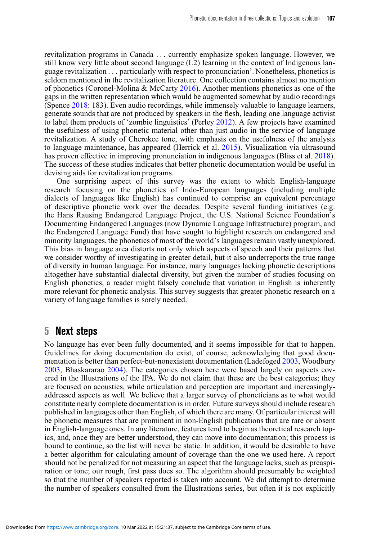revitalization programs in Canada *...* currently emphasize spoken language. However, we still know very little about second language (L2) learning in the context of Indigenous language revitalization *...* particularly with respect to pronunciation'. Nonetheless, phonetics is seldom mentioned in the revitalization literature. One collection contains almost no mention of phonetics (Coronel-Molina & McCarty [2016\)](#page-24-12). Another mentions phonetics as one of the gaps in the written representation which would be augmented somewhat by audio recordings (Spence [2018:](#page-26-18) 183). Even audio recordings, while immensely valuable to language learners, generate sounds that are not produced by speakers in the flesh, leading one language activist to label them products of 'zombie linguistics' (Perley [2012\)](#page-26-19). A few projects have examined the usefulness of using phonetic material other than just audio in the service of language revitalization. A study of Cherokee tone, with emphasis on the usefulness of the analysis to language maintenance, has appeared (Herrick et al. [2015\)](#page-25-24). Visualization via ultrasound has proven effective in improving pronunciation in indigenous languages (Bliss et al. [2018\)](#page-24-13). The success of these studies indicates that better phonetic documentation would be useful in devising aids for revitalization programs.

One surprising aspect of this survey was the extent to which English-language research focusing on the phonetics of Indo-European languages (including multiple dialects of languages like English) has continued to comprise an equivalent percentage of descriptive phonetic work over the decades. Despite several funding initiatives (e.g. the Hans Rausing Endangered Language Project, the U.S. National Science Foundation's Documenting Endangered Languages (now Dynamic Language Infrastructure) program, and the Endangered Language Fund) that have sought to highlight research on endangered and minority languages, the phonetics of most of the world's languages remain vastly unexplored. This bias in language area distorts not only which aspects of speech and their patterns that we consider worthy of investigating in greater detail, but it also underreports the true range of diversity in human language. For instance, many languages lacking phonetic descriptions altogether have substantial dialectal diversity, but given the number of studies focusing on English phonetics, a reader might falsely conclude that variation in English is inherently more relevant for phonetic analysis. This survey suggests that greater phonetic research on a variety of language families is sorely needed.

## **5 Next steps**

No language has ever been fully documented, and it seems impossible for that to happen. Guidelines for doing documentation do exist, of course, acknowledging that good documentation is better than perfect-but-nonexistent documentation (Ladefoged [2003,](#page-26-8) Woodbury [2003,](#page-26-2) Bhaskararao [2004\)](#page-24-2). The categories chosen here were based largely on aspects covered in the Illustrations of the IPA. We do not claim that these are the best categories; they are focused on acoustics, while articulation and perception are important and increasinglyaddressed aspects as well. We believe that a larger survey of phoneticians as to what would constitute nearly complete documentation is in order. Future surveys should include research published in languages other than English, of which there are many. Of particular interest will be phonetic measures that are prominent in non-English publications that are rare or absent in English-language ones. In any literature, features tend to begin as theoretical research topics, and, once they are better understood, they can move into documentation; this process is bound to continue, so the list will never be static. In addition, it would be desirable to have a better algorithm for calculating amount of coverage than the one we used here. A report should not be penalized for not measuring an aspect that the language lacks, such as preaspiration or tone; our rough, first pass does so. The algorithm should presumably be weighted so that the number of speakers reported is taken into account. We did attempt to determine the number of speakers consulted from the Illustrations series, but often it is not explicitly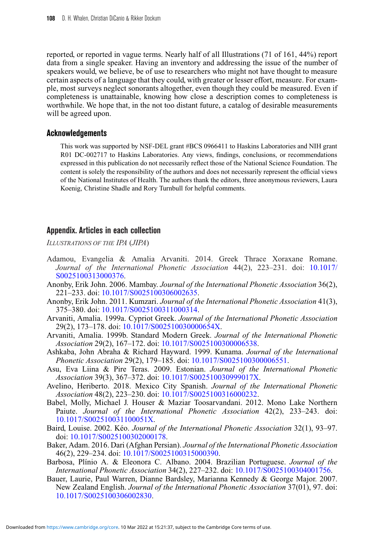reported, or reported in vague terms. Nearly half of all Illustrations (71 of 161, 44%) report data from a single speaker. Having an inventory and addressing the issue of the number of speakers would, we believe, be of use to researchers who might not have thought to measure certain aspects of a language that they could, with greater or lesser effort, measure. For example, most surveys neglect sonorants altogether, even though they could be measured. Even if completeness is unattainable, knowing how close a description comes to completeness is worthwhile. We hope that, in the not too distant future, a catalog of desirable measurements will be agreed upon.

#### **Acknowledgements**

This work was supported by NSF-DEL grant #BCS 0966411 to Haskins Laboratories and NIH grant R01 DC-002717 to Haskins Laboratories. Any views, findings, conclusions, or recommendations expressed in this publication do not necessarily reflect those of the National Science Foundation. The content is solely the responsibility of the authors and does not necessarily represent the official views of the National Institutes of Health. The authors thank the editors, three anonymous reviewers, Laura Koenig, Christine Shadle and Rory Turnbull for helpful comments.

#### **Appendix. Articles in each collection**

*ILLUSTRATIONS OF THE IPA* (*JIPA*)

- Adamou, Evangelia & Amalia Arvaniti. 2014. Greek Thrace Xoraxane Romane. *Journal of the International Phonetic Association* 44(2), 223–231. doi: [10.1017/](https://doi.org/10.1017/S0025100313000376) [S0025100313000376.](https://doi.org/10.1017/S0025100313000376)
- Anonby, Erik John. 2006. Mambay. *Journal of the International Phonetic Association* 36(2), 221–233. doi: [10.1017/S0025100306002635.](https://doi.org/10.1017/S0025100306002635)
- Anonby, Erik John. 2011. Kumzari. *Journal of the International Phonetic Association* 41(3), 375–380. doi: [10.1017/S0025100311000314.](https://doi.org/10.1017/S0025100311000314)
- Arvaniti, Amalia. 1999a. Cypriot Greek. *Journal of the International Phonetic Association* 29(2), 173–178. doi: [10.1017/S002510030000654X.](https://doi.org/10.1017/S002510030000654X)
- Arvaniti, Amalia. 1999b. Standard Modern Greek. *Journal of the International Phonetic Association* 29(2), 167–172. doi: [10.1017/S0025100300006538.](https://doi.org/10.1017/S0025100300006538)
- Ashkaba, John Abraha & Richard Hayward. 1999. Kunama. *Journal of the International Phonetic Association* 29(2), 179–185. doi: [10.1017/S0025100300006551.](https://doi.org/10.1017/S0025100300006551)
- Asu, Eva Liina & Pire Teras. 2009. Estonian. *Journal of the International Phonetic Association* 39(3), 367–372. doi: [10.1017/S002510030999017X.](https://doi.org/10.1017/S002510030999017X)
- Avelino, Heriberto. 2018. Mexico City Spanish. *Journal of the International Phonetic Association* 48(2), 223–230. doi: [10.1017/S0025100316000232.](https://doi.org/10.1017/S0025100316000232)
- Babel, Molly, Michael J. Houser & Maziar Toosarvandani. 2012. Mono Lake Northern Paiute. *Journal of the International Phonetic Association* 42(2), 233–243. doi: [10.1017/S002510031100051X.](https://doi.org/10.1017/S002510031100051X)
- Baird, Louise. 2002. Kéo. *Journal of the International Phonetic Association* 32(1), 93–97. doi: [10.1017/S0025100302000178.](https://doi.org/10.1017/S0025100302000178)
- Baker, Adam. 2016. Dari (Afghan Persian). *Journal of the International Phonetic Association* 46(2), 229–234. doi: [10.1017/S0025100315000390.](https://doi.org/10.1017/S0025100315000390)
- Barbosa, Plínio A. & Eleonora C. Albano. 2004. Brazilian Portuguese. *Journal of the International Phonetic Association* 34(2), 227–232. doi: [10.1017/S0025100304001756.](https://doi.org/10.1017/S0025100304001756)
- Bauer, Laurie, Paul Warren, Dianne Bardsley, Marianna Kennedy & George Major. 2007. New Zealand English. *Journal of the International Phonetic Association* 37(01), 97. doi: [10.1017/S0025100306002830.](https://doi.org/10.1017/S0025100306002830)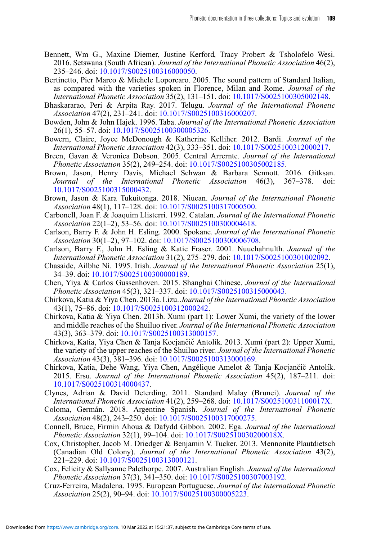- Bennett, Wm G., Maxine Diemer, Justine Kerford, Tracy Probert & Tsholofelo Wesi. 2016. Setswana (South African). *Journal of the International Phonetic Association* 46(2), 235–246. doi: [10.1017/S0025100316000050.](https://doi.org/10.1017/S0025100316000050)
- Bertinetto, Pier Marco & Michele Loporcaro. 2005. The sound pattern of Standard Italian, as compared with the varieties spoken in Florence, Milan and Rome. *Journal of the International Phonetic Association* 35(2), 131–151. doi: [10.1017/S0025100305002148.](https://doi.org/10.1017/S0025100305002148)
- Bhaskararao, Peri & Arpita Ray. 2017. Telugu. *Journal of the International Phonetic Association* 47(2), 231–241. doi: [10.1017/S0025100316000207.](https://doi.org/10.1017/S0025100316000207)
- Bowden, John & John Hajek. 1996. Taba. *Journal of the International Phonetic Association* 26(1), 55–57. doi: [10.1017/S0025100300005326.](https://doi.org/10.1017/S0025100300005326)
- Bowern, Claire, Joyce McDonough & Katherine Kelliher. 2012. Bardi. *Journal of the International Phonetic Association* 42(3), 333–351. doi: [10.1017/S0025100312000217.](https://doi.org/10.1017/S0025100312000217)
- Breen, Gavan & Veronica Dobson. 2005. Central Arrernte. *Journal of the International Phonetic Association* 35(2), 249–254. doi: [10.1017/S0025100305002185.](https://doi.org/10.1017/S0025100305002185)
- Brown, Jason, Henry Davis, Michael Schwan & Barbara Sennott. 2016. Gitksan. *Journal of the International Phonetic Association* 46(3), 367–378. doi: [10.1017/S0025100315000432.](https://doi.org/10.1017/S0025100315000432)
- Brown, Jason & Kara Tukuitonga. 2018. Niuean. *Journal of the International Phonetic Association* 48(1), 117–128. doi: [10.1017/S0025100317000500.](https://doi.org/10.1017/S0025100317000500)
- Carbonell, Joan F. & Joaquim Llisterri. 1992. Catalan. *Journal of the International Phonetic Association* 22(1–2), 53–56. doi: [10.1017/S0025100300004618.](https://doi.org/10.1017/S0025100300004618)
- Carlson, Barry F. & John H. Esling. 2000. Spokane. *Journal of the International Phonetic Association* 30(1–2), 97–102. doi: [10.1017/S0025100300006708.](https://doi.org/10.1017/S0025100300006708)
- Carlson, Barry F., John H. Esling & Katie Fraser. 2001. Nuuchahnulth. *Journal of the International Phonetic Association* 31(2), 275–279. doi: [10.1017/S0025100301002092.](https://doi.org/10.1017/S0025100301002092)
- Chasaide, Ailbhe Ní. 1995. Irish. *Journal of the International Phonetic Association* 25(1), 34–39. doi: [10.1017/S0025100300000189.](https://doi.org/10.1017/S0025100300000189)
- Chen, Yiya & Carlos Gussenhoven. 2015. Shanghai Chinese. *Journal of the International Phonetic Association* 45(3), 321–337. doi: [10.1017/S0025100315000043.](https://doi.org/10.1017/S0025100315000043)
- Chirkova, Katia & Yiya Chen. 2013a. Lizu. *Journal of the International Phonetic Association* 43(1), 75–86. doi: [10.1017/S0025100312000242.](https://doi.org/10.1017/S0025100312000242)
- Chirkova, Katia & Yiya Chen. 2013b. Xumi (part 1): Lower Xumi, the variety of the lower and middle reaches of the Shuiluo river. *Journal of the International Phonetic Association* 43(3), 363–379. doi: [10.1017/S0025100313000157.](https://doi.org/10.1017/S0025100313000157)
- Chirkova, Katia, Yiya Chen & Tanja Kocjančič Antolík. 2013. Xumi (part 2): Upper Xumi, the variety of the upper reaches of the Shuiluo river. *Journal of the International Phonetic Association* 43(3), 381–396. doi: [10.1017/S0025100313000169.](https://doi.org/10.1017/S0025100313000169)
- Chirkova, Katia, Dehe Wang, Yiya Chen, Angélique Amelot & Tanja Kocjančič Antolík. 2015. Ersu. *Journal of the International Phonetic Association* 45(2), 187–211. doi: [10.1017/S0025100314000437.](https://doi.org/10.1017/S0025100314000437)
- Clynes, Adrian & David Deterding. 2011. Standard Malay (Brunei). *Journal of the International Phonetic Association* 41(2), 259–268. doi: [10.1017/S002510031100017X.](https://doi.org/10.1017/S002510031100017X)
- Coloma, Germán. 2018. Argentine Spanish. *Journal of the International Phonetic Association* 48(2), 243–250. doi: [10.1017/S0025100317000275.](https://doi.org/10.1017/S0025100317000275)
- Connell, Bruce, Firmin Ahoua & Dafydd Gibbon. 2002. Ega. *Journal of the International Phonetic Association* 32(1), 99–104. doi: [10.1017/S002510030200018X.](https://doi.org/10.1017/S002510030200018X)
- Cox, Christopher, Jacob M. Driedger & Benjamin V. Tucker. 2013. Mennonite Plautdietsch (Canadian Old Colony). *Journal of the International Phonetic Association* 43(2), 221–229. doi: [10.1017/S0025100313000121.](https://doi.org/10.1017/S0025100313000121)
- Cox, Felicity & Sallyanne Palethorpe. 2007. Australian English. *Journal of the International Phonetic Association* 37(3), 341–350. doi: [10.1017/S0025100307003192.](https://doi.org/10.1017/S0025100307003192)
- Cruz-Ferreira, Madalena. 1995. European Portuguese. *Journal of the International Phonetic Association* 25(2), 90–94. doi: [10.1017/S0025100300005223.](https://doi.org/10.1017/S0025100300005223)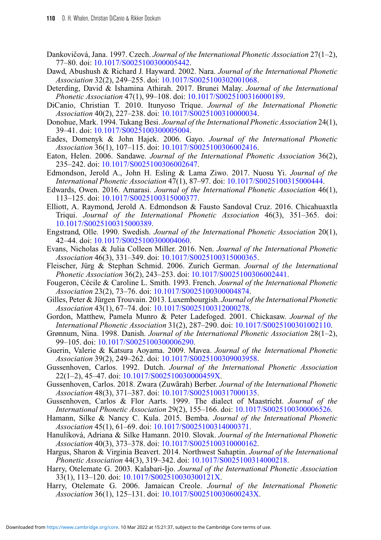- Dankovičová, Jana. 1997. Czech. Journal of the International Phonetic Association 27(1–2), 77–80. doi: [10.1017/S0025100300005442.](https://doi.org/10.1017/S0025100300005442)
- Dawd, Abushush & Richard J. Hayward. 2002. Nara. *Journal of the International Phonetic Association* 32(2), 249–255. doi: [10.1017/S0025100302001068.](https://doi.org/10.1017/S0025100302001068)
- Deterding, David & Ishamina Athirah. 2017. Brunei Malay. *Journal of the International Phonetic Association* 47(1), 99–108. doi: [10.1017/S0025100316000189.](https://doi.org/10.1017/S0025100316000189)
- DiCanio, Christian T. 2010. Itunyoso Trique. *Journal of the International Phonetic Association* 40(2), 227–238. doi: [10.1017/S0025100310000034.](https://doi.org/10.1017/S0025100310000034)
- Donohue, Mark. 1994. Tukang Besi. *Journal of the International Phonetic Association* 24(1), 39–41. doi: [10.1017/S0025100300005004.](https://doi.org/10.1017/S0025100300005004)
- Eades, Domenyk & John Hajek. 2006. Gayo. *Journal of the International Phonetic Association* 36(1), 107–115. doi: [10.1017/S0025100306002416.](https://doi.org/10.1017/S0025100306002416)
- Eaton, Helen. 2006. Sandawe. *Journal of the International Phonetic Association* 36(2), 235–242. doi: [10.1017/S0025100306002647.](https://doi.org/10.1017/S0025100306002647)
- Edmondson, Jerold A., John H. Esling & Lama Ziwo. 2017. Nuosu Yi. *Journal of the International Phonetic Association* 47(1), 87–97. doi: [10.1017/S0025100315000444.](https://doi.org/10.1017/S0025100315000444)
- Edwards, Owen. 2016. Amarasi. *Journal of the International Phonetic Association* 46(1), 113–125. doi: [10.1017/S0025100315000377.](https://doi.org/10.1017/S0025100315000377)
- Elliott, A. Raymond, Jerold A. Edmondson & Fausto Sandoval Cruz. 2016. Chicahuaxtla Triqui. *Journal of the International Phonetic Association* 46(3), 351–365. doi: [10.1017/S0025100315000389.](https://doi.org/10.1017/S0025100315000389)
- Engstrand, Olle. 1990. Swedish. *Journal of the International Phonetic Association* 20(1), 42–44. doi: [10.1017/S0025100300004060.](https://doi.org/10.1017/S0025100300004060)
- Evans, Nicholas & Julia Colleen Miller. 2016. Nen. *Journal of the International Phonetic Association* 46(3), 331–349. doi: [10.1017/S0025100315000365.](https://doi.org/10.1017/S0025100315000365)
- Fleischer, Jürg & Stephan Schmid. 2006. Zurich German. *Journal of the International Phonetic Association* 36(2), 243–253. doi: [10.1017/S0025100306002441.](https://doi.org/10.1017/S0025100306002441)
- Fougeron, Cécile & Caroline L. Smith. 1993. French. *Journal of the International Phonetic Association* 23(2), 73–76. doi: [10.1017/S0025100300004874.](https://doi.org/10.1017/S0025100300004874)
- Gilles, Peter & Jürgen Trouvain. 2013. Luxembourgish. *Journal of the International Phonetic Association* 43(1), 67–74. doi: [10.1017/S0025100312000278.](https://doi.org/10.1017/S0025100312000278)
- Gordon, Matthew, Pamela Munro & Peter Ladefoged. 2001. Chickasaw. *Journal of the International Phonetic Association* 31(2), 287–290. doi: [10.1017/S0025100301002110.](https://doi.org/10.1017/S0025100301002110)
- Grønnum, Nina. 1998. Danish. *Journal of the International Phonetic Association* 28(1–2), 99–105. doi: [10.1017/S0025100300006290.](https://doi.org/10.1017/S0025100300006290)
- Guerin, Valerie & Katsura Aoyama. 2009. Mavea. *Journal of the International Phonetic Association* 39(2), 249–262. doi: [10.1017/S0025100309003958.](https://doi.org/10.1017/S0025100309003958)
- Gussenhoven, Carlos. 1992. Dutch. *Journal of the International Phonetic Association* 22(1–2), 45–47. doi: [10.1017/S002510030000459X.](https://doi.org/10.1017/S002510030000459X)
- Gussenhoven, Carlos. 2018. Zwara (Zuwārah) Berber. *Journal of the International Phonetic Association* 48(3), 371–387. doi: [10.1017/S0025100317000135.](https://doi.org/10.1017/S0025100317000135)
- Gussenhoven, Carlos & Flor Aarts. 1999. The dialect of Maastricht. *Journal of the International Phonetic Association* 29(2), 155–166. doi: [10.1017/S0025100300006526.](https://doi.org/10.1017/S0025100300006526)
- Hamann, Silke & Nancy C. Kula. 2015. Bemba. *Journal of the International Phonetic Association* 45(1), 61–69. doi: [10.1017/S0025100314000371.](https://doi.org/10.1017/S0025100314000371)
- Hanulíková, Adriana & Silke Hamann. 2010. Slovak. *Journal of the International Phonetic Association* 40(3), 373–378. doi: [10.1017/S0025100310000162.](https://doi.org/10.1017/S0025100310000162)
- Hargus, Sharon & Virginia Beavert. 2014. Northwest Sahaptin. *Journal of the International Phonetic Association* 44(3), 319–342. doi: [10.1017/S0025100314000218.](https://doi.org/10.1017/S0025100314000218)
- Harry, Otelemate G. 2003. Kalabari-Ijo. *Journal of the International Phonetic Association* 33(1), 113–120. doi: [10.1017/S002510030300121X.](https://doi.org/10.1017/S002510030300121X)
- Harry, Otelemate G. 2006. Jamaican Creole. *Journal of the International Phonetic Association* 36(1), 125–131. doi: [10.1017/S002510030600243X.](https://doi.org/10.1017/S002510030600243X)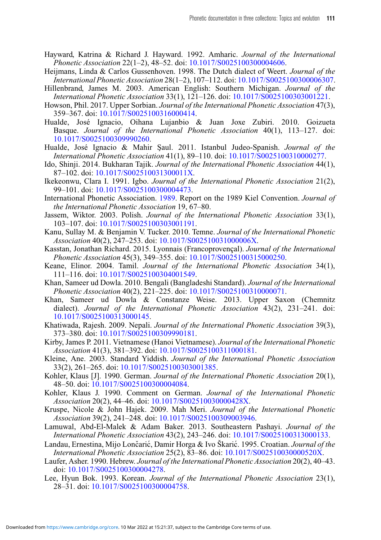- Hayward, Katrina & Richard J. Hayward. 1992. Amharic. *Journal of the International Phonetic Association* 22(1–2), 48–52. doi: [10.1017/S0025100300004606.](https://doi.org/10.1017/S0025100300004606)
- Heijmans, Linda & Carlos Gussenhoven. 1998. The Dutch dialect of Weert. *Journal of the International Phonetic Association* 28(1–2), 107–112. doi: [10.1017/S0025100300006307.](https://doi.org/10.1017/S0025100300006307)
- Hillenbrand, James M. 2003. American English: Southern Michigan. *Journal of the International Phonetic Association* 33(1), 121–126. doi: [10.1017/S0025100303001221.](https://doi.org/10.1017/S0025100303001221)
- Howson, Phil. 2017. Upper Sorbian. *Journal of the International Phonetic Association* 47(3), 359–367. doi: [10.1017/S0025100316000414.](https://doi.org/10.1017/S0025100316000414)
- Hualde, José Ignacio, Oihana Lujanbio & Juan Joxe Zubiri. 2010. Goizueta Basque. *Journal of the International Phonetic Association* 40(1), 113–127. doi: [10.1017/S0025100309990260.](https://doi.org/10.1017/S0025100309990260)
- Hualde, José Ignacio & Mahir ¸Saul. 2011. Istanbul Judeo-Spanish. *Journal of the International Phonetic Association* 41(1), 89–110. doi: [10.1017/S0025100310000277.](https://doi.org/10.1017/S0025100310000277)
- Ido, Shinji. 2014. Bukharan Tajik. *Journal of the International Phonetic Association* 44(1), 87–102. doi: [10.1017/S002510031300011X.](https://doi.org/10.1017/S002510031300011X)
- Ikekeonwu, Clara I. 1991. Igbo. *Journal of the International Phonetic Association* 21(2), 99–101. doi: [10.1017/S0025100300004473.](https://doi.org/10.1017/S0025100300004473)
- International Phonetic Association. [1989.](#page-25-10) Report on the 1989 Kiel Convention. *Journal of the International Phonetic Association* 19, 67–80.
- Jassem, Wiktor. 2003. Polish. *Journal of the International Phonetic Association* 33(1), 103–107. doi: [10.1017/S0025100303001191.](https://doi.org/10.1017/S0025100303001191)
- Kanu, Sullay M. & Benjamin V. Tucker. 2010. Temne. *Journal of the International Phonetic Association* 40(2), 247–253. doi: [10.1017/S002510031000006X.](https://doi.org/10.1017/S002510031000006X)
- Kasstan, Jonathan Richard. 2015. Lyonnais (Francoprovençal). *Journal of the International Phonetic Association* 45(3), 349–355. doi: [10.1017/S0025100315000250.](https://doi.org/10.1017/S0025100315000250)
- Keane, Elinor. 2004. Tamil. *Journal of the International Phonetic Association* 34(1), 111–116. doi: [10.1017/S0025100304001549.](https://doi.org/10.1017/S0025100304001549)
- Khan, Sameer ud Dowla. 2010. Bengali (Bangladeshi Standard). *Journal of the International Phonetic Association* 40(2), 221–225. doi: [10.1017/S0025100310000071.](https://doi.org/10.1017/S0025100310000071)
- Khan, Sameer ud Dowla & Constanze Weise. 2013. Upper Saxon (Chemnitz dialect). *Journal of the International Phonetic Association* 43(2), 231–241. doi: [10.1017/S0025100313000145.](https://doi.org/10.1017/S0025100313000145)
- Khatiwada, Rajesh. 2009. Nepali. *Journal of the International Phonetic Association* 39(3), 373–380. doi: [10.1017/S0025100309990181.](https://doi.org/10.1017/S0025100309990181)
- Kirby, James P. 2011. Vietnamese (Hanoi Vietnamese). *Journal of the International Phonetic Association* 41(3), 381–392. doi: [10.1017/S0025100311000181.](https://doi.org/10.1017/S0025100311000181)
- Kleine, Ane. 2003. Standard Yiddish. *Journal of the International Phonetic Association* 33(2), 261–265. doi: [10.1017/S0025100303001385.](https://doi.org/10.1017/S0025100303001385)
- Kohler, Klaus [J]. 1990. German. *Journal of the International Phonetic Association* 20(1), 48–50. doi: [10.1017/S0025100300004084.](https://doi.org/10.1017/S0025100300004084)
- Kohler, Klaus J. 1990. Comment on German. *Journal of the International Phonetic Association* 20(2), 44–46. doi: [10.1017/S002510030000428X.](https://doi.org/10.1017/S002510030000428X)
- Kruspe, Nicole & John Hajek. 2009. Mah Meri. *Journal of the International Phonetic Association* 39(2), 241–248. doi: [10.1017/S0025100309003946.](https://doi.org/10.1017/S0025100309003946)
- Lamuwal, Abd-El-Malek & Adam Baker. 2013. Southeastern Pashayi. *Journal of the International Phonetic Association* 43(2), 243–246. doi: [10.1017/S0025100313000133.](https://doi.org/10.1017/S0025100313000133)
- Landau, Ernestina, Mijo Lončarić, Damir Horga & Ivo Škarić. 1995. Croatian. *Journal of the International Phonetic Association* 25(2), 83–86. doi: [10.1017/S002510030000520X.](https://doi.org/10.1017/S002510030000520X)
- Laufer, Asher. 1990. Hebrew. *Journal of the International Phonetic Association* 20(2), 40–43. doi: [10.1017/S0025100300004278.](https://doi.org/10.1017/S0025100300004278)
- Lee, Hyun Bok. 1993. Korean. *Journal of the International Phonetic Association* 23(1), 28–31. doi: [10.1017/S0025100300004758.](https://doi.org/10.1017/S0025100300004758)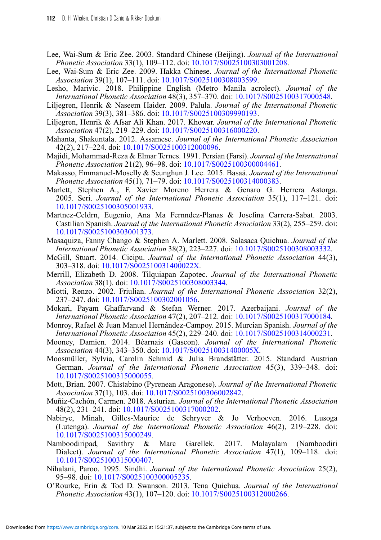- Lee, Wai-Sum & Eric Zee. 2003. Standard Chinese (Beijing). *Journal of the International Phonetic Association* 33(1), 109–112. doi: [10.1017/S0025100303001208.](https://doi.org/10.1017/S0025100303001208)
- Lee, Wai-Sum & Eric Zee. 2009. Hakka Chinese. *Journal of the International Phonetic Association* 39(1), 107–111. doi: [10.1017/S0025100308003599.](https://doi.org/10.1017/S0025100308003599)
- Lesho, Marivic. 2018. Philippine English (Metro Manila acrolect). *Journal of the International Phonetic Association* 48(3), 357–370. doi: [10.1017/S0025100317000548.](https://doi.org/10.1017/S0025100317000548)
- Liljegren, Henrik & Naseem Haider. 2009. Palula. *Journal of the International Phonetic Association* 39(3), 381–386. doi: [10.1017/S0025100309990193.](https://doi.org/10.1017/S0025100309990193)
- Liljegren, Henrik & Afsar Ali Khan. 2017. Khowar. *Journal of the International Phonetic Association* 47(2), 219–229. doi: [10.1017/S0025100316000220.](https://doi.org/10.1017/S0025100316000220)
- Mahanta, Shakuntala. 2012. Assamese. *Journal of the International Phonetic Association* 42(2), 217–224. doi: [10.1017/S0025100312000096.](https://doi.org/10.1017/S0025100312000096)
- Majidi, Mohammad-Reza & Elmar Ternes. 1991. Persian (Farsi). *Journal of the International Phonetic Association* 21(2), 96–98. doi: [10.1017/S0025100300004461.](https://doi.org/10.1017/S0025100300004461)
- Makasso, Emmanuel-Moselly & Seunghun J. Lee. 2015. Basaá. *Journal of the International Phonetic Association* 45(1), 71–79. doi: [10.1017/S0025100314000383.](https://doi.org/10.1017/S0025100314000383)
- Marlett, Stephen A., F. Xavier Moreno Herrera & Genaro G. Herrera Astorga. 2005. Seri. *Journal of the International Phonetic Association* 35(1), 117–121. doi: [10.1017/S0025100305001933.](https://doi.org/10.1017/S0025100305001933)
- Martnez-Celdrn, Eugenio, Ana Ma Fernndez-Planas & Josefina Carrera-Sabat. 2003. Castilian Spanish. *Journal of the International Phonetic Association* 33(2), 255–259. doi: [10.1017/S0025100303001373.](https://doi.org/10.1017/S0025100303001373)
- Masaquiza, Fanny Chango & Stephen A. Marlett. 2008. Salasaca Quichua. *Journal of the International Phonetic Association* 38(2), 223–227. doi: [10.1017/S0025100308003332.](https://doi.org/10.1017/S0025100308003332)
- McGill, Stuart. 2014. Cicipu. *Journal of the International Phonetic Association* 44(3), 303–318. doi: [10.1017/S002510031400022X.](https://doi.org/10.1017/S002510031400022X)
- Merrill, Elizabeth D. 2008. Tilquiapan Zapotec. *Journal of the International Phonetic Association* 38(1). doi: [10.1017/S0025100308003344.](https://doi.org/10.1017/S0025100308003344)
- Miotti, Renzo. 2002. Friulian. *Journal of the International Phonetic Association* 32(2), 237–247. doi: [10.1017/S0025100302001056.](https://doi.org/10.1017/S0025100302001056)
- Mokari, Payam Ghaffarvand & Stefan Werner. 2017. Azerbaijani. *Journal of the International Phonetic Association* 47(2), 207–212. doi: [10.1017/S0025100317000184.](https://doi.org/10.1017/S0025100317000184)
- Monroy, Rafael & Juan Manuel Hernández-Campoy. 2015. Murcian Spanish. *Journal of the International Phonetic Association* 45(2), 229–240. doi: [10.1017/S0025100314000231.](https://doi.org/10.1017/S0025100314000231)
- Mooney, Damien. 2014. Béarnais (Gascon). *Journal of the International Phonetic Association* 44(3), 343–350. doi: [10.1017/S002510031400005X.](https://doi.org/10.1017/S002510031400005X)
- Moosmüller, Sylvia, Carolin Schmid & Julia Brandstätter. 2015. Standard Austrian German. *Journal of the International Phonetic Association* 45(3), 339–348. doi: [10.1017/S0025100315000055.](https://doi.org/10.1017/S0025100315000055)
- Mott, Brian. 2007. Chistabino (Pyrenean Aragonese). *Journal of the International Phonetic Association* 37(1), 103. doi: [10.1017/S0025100306002842.](https://doi.org/10.1017/S0025100306002842)
- Muñiz-Cachón, Carmen. 2018. Asturian. *Journal of the International Phonetic Association* 48(2), 231–241. doi: [10.1017/S0025100317000202.](https://doi.org/10.1017/S0025100317000202)
- Nabirye, Minah, Gilles-Maurice de Schryver & Jo Verhoeven. 2016. Lusoga (Lutenga). *Journal of the International Phonetic Association* 46(2), 219–228. doi: [10.1017/S0025100315000249.](https://doi.org/10.1017/S0025100315000249)
- Namboodiripad, Savithry & Marc Garellek. 2017. Malayalam (Namboodiri Dialect). *Journal of the International Phonetic Association* 47(1), 109–118. doi: [10.1017/S0025100315000407.](https://doi.org/10.1017/S0025100315000407)
- Nihalani, Paroo. 1995. Sindhi. *Journal of the International Phonetic Association* 25(2), 95–98. doi: [10.1017/S0025100300005235.](https://doi.org/10.1017/S0025100300005235)
- O'Rourke, Erin & Tod D. Swanson. 2013. Tena Quichua. *Journal of the International Phonetic Association* 43(1), 107–120. doi: [10.1017/S0025100312000266.](https://doi.org/10.1017/S0025100312000266)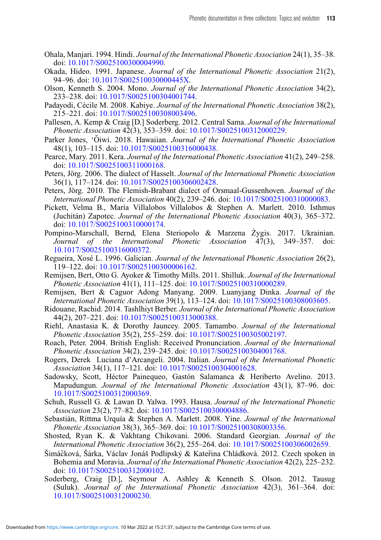- Ohala, Manjari. 1994. Hindi. *Journal of the International Phonetic Association* 24(1), 35–38. doi: [10.1017/S0025100300004990.](https://doi.org/10.1017/S0025100300004990)
- Okada, Hideo. 1991. Japanese. *Journal of the International Phonetic Association* 21(2), 94–96. doi: [10.1017/S002510030000445X.](https://doi.org/10.1017/S002510030000445X)
- Olson, Kenneth S. 2004. Mono. *Journal of the International Phonetic Association* 34(2), 233–238. doi: [10.1017/S0025100304001744.](https://doi.org/10.1017/S0025100304001744)
- Padayodi, Cécile M. 2008. Kabiye. *Journal of the International Phonetic Association* 38(2), 215–221. doi: [10.1017/S0025100308003496.](https://doi.org/10.1017/S0025100308003496)
- Pallesen, A. Kemp & Craig [D.] Soderberg. 2012. Central Sama. *Journal of the International Phonetic Association* 42(3), 353–359. doi: [10.1017/S0025100312000229.](https://doi.org/10.1017/S0025100312000229)
- Parker Jones, 'Oiwi. 2018. Hawaiian. Journal of the International Phonetic Association 48(1), 103–115. doi: [10.1017/S0025100316000438.](https://doi.org/10.1017/S0025100316000438)
- Pearce, Mary. 2011. Kera. *Journal of the International Phonetic Association* 41(2), 249–258. doi: [10.1017/S0025100311000168.](https://doi.org/10.1017/S0025100311000168)
- Peters, Jörg. 2006. The dialect of Hasselt. *Journal of the International Phonetic Association* 36(1), 117–124. doi: [10.1017/S0025100306002428.](https://doi.org/10.1017/S0025100306002428)
- Peters, Jörg. 2010. The Flemish-Brabant dialect of Orsmaal-Gussenhoven. *Journal of the International Phonetic Association* 40(2), 239–246. doi: [10.1017/S0025100310000083.](https://doi.org/10.1017/S0025100310000083)
- Pickett, Velma B., María Villalobos Villalobos & Stephen A. Marlett. 2010. Isthmus (Juchitán) Zapotec. *Journal of the International Phonetic Association* 40(3), 365–372. doi: [10.1017/S0025100310000174.](https://doi.org/10.1017/S0025100310000174)
- Pompino-Marschall, Bernd, Elena Steriopolo & Marzena Żygis. 2017. Ukrainian. *Journal of the International Phonetic Association* 47(3), 349–357. doi: [10.1017/S0025100316000372.](https://doi.org/10.1017/S0025100316000372)
- Regueira, Xosé L. 1996. Galician. *Journal of the International Phonetic Association* 26(2), 119–122. doi: [10.1017/S0025100300006162.](https://doi.org/10.1017/S0025100300006162)
- Remijsen, Bert, Otto G. Ayoker & Timothy Mills. 2011. Shilluk. *Journal of the International Phonetic Association* 41(1), 111–125. doi: [10.1017/S0025100310000289.](https://doi.org/10.1017/S0025100310000289)
- Remijsen, Bert & Caguor Adong Manyang. 2009. Luanyjang Dinka. *Journal of the International Phonetic Association* 39(1), 113–124. doi: [10.1017/S0025100308003605.](https://doi.org/10.1017/S0025100308003605)
- Ridouane, Rachid. 2014. Tashlhiyt Berber. *Journal of the International Phonetic Association* 44(2), 207–221. doi: [10.1017/S0025100313000388.](https://doi.org/10.1017/S0025100313000388)
- Riehl, Anastasia K. & Dorothy Jauncey. 2005. Tamambo. *Journal of the International Phonetic Association* 35(2), 255–259. doi: [10.1017/S0025100305002197.](https://doi.org/10.1017/S0025100305002197)
- Roach, Peter. 2004. British English: Received Pronunciation. *Journal of the International Phonetic Association* 34(2), 239–245. doi: [10.1017/S0025100304001768.](https://doi.org/10.1017/S0025100304001768)
- Rogers, Derek Luciana d'Arcangeli. 2004. Italian. *Journal of the International Phonetic Association* 34(1), 117–121. doi: [10.1017/S0025100304001628.](https://doi.org/10.1017/S0025100304001628)
- Sadowsky, Scott, Héctor Painequeo, Gastón Salamanca & Heriberto Avelino. 2013. Mapudungun. *Journal of the International Phonetic Association* 43(1), 87–96. doi: [10.1017/S0025100312000369.](https://doi.org/10.1017/S0025100312000369)
- Schuh, Russell G. & Lawan D. Yalwa. 1993. Hausa. *Journal of the International Phonetic Association* 23(2), 77–82. doi: [10.1017/S0025100300004886.](https://doi.org/10.1017/S0025100300004886)
- Sebastián, Rittma Urquía & Stephen A. Marlett. 2008. Yine. *Journal of the International Phonetic Association* 38(3), 365–369. doi: [10.1017/S0025100308003356.](https://doi.org/10.1017/S0025100308003356)
- Shosted, Ryan K. & Vakhtang Chikovani. 2006. Standard Georgian. *Journal of the International Phonetic Association* 36(2), 255–264. doi: [10.1017/S0025100306002659.](https://doi.org/10.1017/S0025100306002659)
- Šimáčková, Šárka, Václav Jonáš Podlipský & Kateřina Chládková. 2012. Czech spoken in Bohemia and Moravia. *Journal of the International Phonetic Association* 42(2), 225–232. doi: [10.1017/S0025100312000102.](https://doi.org/10.1017/S0025100312000102)
- Soderberg, Craig [D.], Seymour A. Ashley & Kenneth S. Olson. 2012. Tausug (Suluk). *Journal of the International Phonetic Association* 42(3), 361–364. doi: [10.1017/S0025100312000230.](https://doi.org/10.1017/S0025100312000230)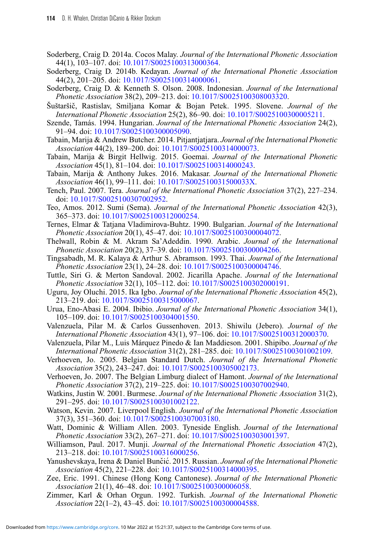- Soderberg, Craig D. 2014a. Cocos Malay. *Journal of the International Phonetic Association* 44(1), 103–107. doi: [10.1017/S0025100313000364.](https://doi.org/10.1017/S0025100313000364)
- Soderberg, Craig D. 2014b. Kedayan. *Journal of the International Phonetic Association* 44(2), 201–205. doi: [10.1017/S0025100314000061.](https://doi.org/10.1017/S0025100314000061)
- Soderberg, Craig D. & Kenneth S. Olson. 2008. Indonesian. *Journal of the International Phonetic Association* 38(2), 209–213. doi: [10.1017/S0025100308003320.](https://doi.org/10.1017/S0025100308003320)
- Šuštaršic, Rastislav, Smiljana Komar & Bojan Petek. 1995. Slovene. ˇ *Journal of the International Phonetic Association* 25(2), 86–90. doi: [10.1017/S0025100300005211.](https://doi.org/10.1017/S0025100300005211)
- Szende, Tamás. 1994. Hungarian. *Journal of the International Phonetic Association* 24(2), 91–94. doi: [10.1017/S0025100300005090.](https://doi.org/10.1017/S0025100300005090)
- Tabain, Marija & Andrew Butcher. 2014. Pitjantjatjara. *Journal of the International Phonetic Association* 44(2), 189–200. doi: [10.1017/S0025100314000073.](https://doi.org/10.1017/S0025100314000073)
- Tabain, Marija & Birgit Hellwig. 2015. Goemai. *Journal of the International Phonetic Association* 45(1), 81–104. doi: [10.1017/S0025100314000243.](https://doi.org/10.1017/S0025100314000243)
- Tabain, Marija & Anthony Jukes. 2016. Makasar. *Journal of the International Phonetic Association* 46(1), 99–111. doi: [10.1017/S002510031500033X.](https://doi.org/10.1017/S002510031500033X)
- Tench, Paul. 2007. Tera. *Journal of the International Phonetic Association* 37(2), 227–234. doi: [10.1017/S0025100307002952.](https://doi.org/10.1017/S0025100307002952)
- Teo, Amos. 2012. Sumi (Sema). *Journal of the International Phonetic Association* 42(3), 365–373. doi: [10.1017/S0025100312000254.](https://doi.org/10.1017/S0025100312000254)
- Ternes, Elmar & Tatjana Vladimirova-Buhtz. 1990. Bulgarian. *Journal of the International Phonetic Association* 20(1), 45–47. doi: [10.1017/S0025100300004072.](https://doi.org/10.1017/S0025100300004072)
- Thelwall, Robin & M. Akram Sa'Adeddin. 1990. Arabic. *Journal of the International Phonetic Association* 20(2), 37–39. doi: [10.1017/S0025100300004266.](https://doi.org/10.1017/S0025100300004266)
- Tingsabadh, M. R. Kalaya & Arthur S. Abramson. 1993. Thai. *Journal of the International Phonetic Association* 23(1), 24–28. doi: [10.1017/S0025100300004746.](https://doi.org/10.1017/S0025100300004746)
- Tuttle, Siri G. & Merton Sandoval. 2002. Jicarilla Apache. *Journal of the International Phonetic Association* 32(1), 105–112. doi: [10.1017/S0025100302000191.](https://doi.org/10.1017/S0025100302000191)
- Uguru, Joy Oluchi. 2015. Ika Igbo. *Journal of the International Phonetic Association* 45(2), 213–219. doi: [10.1017/S0025100315000067.](https://doi.org/10.1017/S0025100315000067)
- Urua, Eno-Abasi E. 2004. Ibibio. *Journal of the International Phonetic Association* 34(1), 105–109. doi: [10.1017/S0025100304001550.](https://doi.org/10.1017/S0025100304001550)
- Valenzuela, Pilar M. & Carlos Gussenhoven. 2013. Shiwilu (Jebero). *Journal of the International Phonetic Association* 43(1), 97–106. doi: [10.1017/S0025100312000370.](https://doi.org/10.1017/S0025100312000370)
- Valenzuela, Pilar M., Luis Márquez Pinedo & Ian Maddieson. 2001. Shipibo. *Journal of the International Phonetic Association* 31(2), 281–285. doi: [10.1017/S0025100301002109.](https://doi.org/10.1017/S0025100301002109)
- Verhoeven, Jo. 2005. Belgian Standard Dutch. *Journal of the International Phonetic Association* 35(2), 243–247. doi: [10.1017/S0025100305002173.](https://doi.org/10.1017/S0025100305002173)
- Verhoeven, Jo. 2007. The Belgian Limburg dialect of Hamont. *Journal of the International Phonetic Association* 37(2), 219–225. doi: [10.1017/S0025100307002940.](https://doi.org/10.1017/S0025100307002940)
- Watkins, Justin W. 2001. Burmese. *Journal of the International Phonetic Association* 31(2), 291–295. doi: [10.1017/S0025100301002122.](https://doi.org/10.1017/S0025100301002122)
- Watson, Kevin. 2007. Liverpool English. *Journal of the International Phonetic Association* 37(3), 351–360. doi: [10.1017/S0025100307003180.](https://doi.org/10.1017/S0025100307003180)
- Watt, Dominic & William Allen. 2003. Tyneside English. *Journal of the International Phonetic Association* 33(2), 267–271. doi: [10.1017/S0025100303001397.](https://doi.org/10.1017/S0025100303001397)
- Williamson, Paul. 2017. Munji. *Journal of the International Phonetic Association* 47(2), 213–218. doi: [10.1017/S0025100316000256.](https://doi.org/10.1017/S0025100316000256)
- Yanushevskaya, Irena & Daniel Bunčić. 2015. Russian. *Journal of the International Phonetic Association* 45(2), 221–228. doi: [10.1017/S0025100314000395.](https://doi.org/10.1017/S0025100314000395)
- Zee, Eric. 1991. Chinese (Hong Kong Cantonese). *Journal of the International Phonetic Association* 21(1), 46–48. doi: [10.1017/S0025100300006058.](https://doi.org/10.1017/S0025100300006058)
- Zimmer, Karl & Orhan Orgun. 1992. Turkish. *Journal of the International Phonetic Association* 22(1–2), 43–45. doi: [10.1017/S0025100300004588.](https://doi.org/10.1017/S0025100300004588)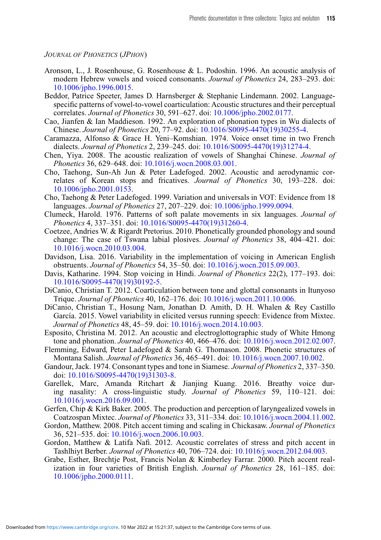*JOURNAL OF PHONETICS* (*JPHON*)

- Aronson, L., J. Rosenhouse, G. Rosenhouse & L. Podoshin. 1996. An acoustic analysis of modern Hebrew vowels and voiced consonants. *Journal of Phonetics* 24, 283–293. doi: [10.1006/jpho.1996.0015.](https://doi.org/10.1006/jpho.1996.0015)
- Beddor, Patrice Speeter, James D. Harnsberger & Stephanie Lindemann. 2002. Languagespecific patterns of vowel-to-vowel coarticulation: Acoustic structures and their perceptual correlates. *Journal of Phonetics* 30, 591–627. doi: [10.1006/jpho.2002.0177.](https://doi.org/10.1006/jpho.2002.0177)
- Cao, Jianfen & Ian Maddieson. 1992. An exploration of phonation types in Wu dialects of Chinese. *Journal of Phonetics* 20, 77–92. doi: [10.1016/S0095-4470\(19\)30255-4.](https://doi.org/10.1016/S0095-4470(19)30255-4)
- Caramazza, Alfonso & Grace H. Yeni–Komshian. 1974. Voice onset time in two French dialects. *Journal of Phonetics* 2, 239–245. doi: [10.1016/S0095-4470\(19\)31274-4.](https://doi.org/10.1016/S0095-4470(19)31274-4)
- Chen, Yiya. 2008. The acoustic realization of vowels of Shanghai Chinese. *Journal of Phonetics* 36, 629–648. doi: [10.1016/j.wocn.2008.03.001.](https://doi.org/10.1016/j.wocn.2008.03.001)
- Cho, Taehong, Sun-Ah Jun & Peter Ladefoged. 2002. Acoustic and aerodynamic correlates of Korean stops and fricatives. *Journal of Phonetics* 30, 193–228. doi: [10.1006/jpho.2001.0153.](https://doi.org/10.1006/jpho.2001.0153)
- Cho, Taehong & Peter Ladefoged. 1999. Variation and universals in VOT: Evidence from 18 languages. *Journal of Phonetics* 27, 207–229. doi: [10.1006/jpho.1999.0094.](https://doi.org/10.1006/jpho.1999.0094)
- Clumeck, Harold. 1976. Patterns of soft palate movements in six languages. *Journal of Phonetics* 4, 337–351. doi: [10.1016/S0095-4470\(19\)31260-4.](https://doi.org/10.1016/S0095-4470(19)31260-4)
- Coetzee, Andries W. & Rigardt Pretorius. 2010. Phonetically grounded phonology and sound change: The case of Tswana labial plosives. *Journal of Phonetics* 38, 404–421. doi: [10.1016/j.wocn.2010.03.004.](https://doi.org/10.1016/j.wocn.2010.03.004)
- Davidson, Lisa. 2016. Variability in the implementation of voicing in American English obstruents. *Journal of Phonetics* 54, 35–50. doi: [10.1016/j.wocn.2015.09.003.](https://doi.org/10.1016/j.wocn.2015.09.003)
- Davis, Katharine. 1994. Stop voicing in Hindi. *Journal of Phonetics* 22(2), 177–193. doi: [10.1016/S0095-4470\(19\)30192-5.](https://doi.org/10.1016/S0095-4470(19)30192-5)
- DiCanio, Christian T. 2012. Coarticulation between tone and glottal consonants in Itunyoso Trique. *Journal of Phonetics* 40, 162–176. doi: [10.1016/j.wocn.2011.10.006.](https://doi.org/10.1016/j.wocn.2011.10.006)
- DiCanio, Christian T., Hosung Nam, Jonathan D. Amith, D. H. Whalen & Rey Castillo García. 2015. Vowel variability in elicited versus running speech: Evidence from Mixtec. *Journal of Phonetics* 48, 45–59. doi: [10.1016/j.wocn.2014.10.003.](https://doi.org/10.1016/j.wocn.2014.10.003)
- Esposito, Christina M. 2012. An acoustic and electroglottographic study of White Hmong tone and phonation. *Journal of Phonetics* 40, 466–476. doi: [10.1016/j.wocn.2012.02.007.](https://doi.org/10.1016/j.wocn.2012.02.007)
- Flemming, Edward, Peter Ladefoged & Sarah G. Thomason. 2008. Phonetic structures of Montana Salish. *Journal of Phonetics* 36, 465–491. doi: [10.1016/j.wocn.2007.10.002.](https://doi.org/10.1016/j.wocn.2007.10.002)
- Gandour, Jack. 1974. Consonant types and tone in Siamese. *Journal of Phonetics* 2, 337–350. doi: [10.1016/S0095-4470\(19\)31303-8.](https://doi.org/10.1016/S0095-4470(19)31303-8)
- Garellek, Marc, Amanda Ritchart & Jianjing Kuang. 2016. Breathy voice during nasality: A cross-linguistic study. *Journal of Phonetics* 59, 110–121. doi: [10.1016/j.wocn.2016.09.001.](https://doi.org/10.1016/j.wocn.2016.09.001)
- Gerfen, Chip & Kirk Baker. 2005. The production and perception of laryngealized vowels in Coatzospan Mixtec. *Journal of Phonetics* 33, 311–334. doi: [10.1016/j.wocn.2004.11.002.](https://doi.org/10.1016/j.wocn.2004.11.002)
- Gordon, Matthew. 2008. Pitch accent timing and scaling in Chickasaw. *Journal of Phonetics* 36, 521–535. doi: [10.1016/j.wocn.2006.10.003.](https://doi.org/10.1016/j.wocn.2006.10.003)
- Gordon, Matthew & Latifa Nafi. 2012. Acoustic correlates of stress and pitch accent in Tashlhiyt Berber. *Journal of Phonetics* 40, 706–724. doi: [10.1016/j.wocn.2012.04.003.](https://doi.org/10.1016/j.wocn.2012.04.003)
- Grabe, Esther, Brechtje Post, Francis Nolan & Kimberley Farrar. 2000. Pitch accent realization in four varieties of British English. *Journal of Phonetics* 28, 161–185. doi: [10.1006/jpho.2000.0111.](https://doi.org/10.1006/jpho.2000.0111)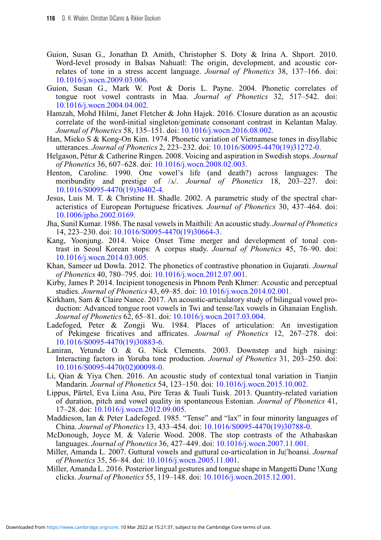- Guion, Susan G., Jonathan D. Amith, Christopher S. Doty & Irina A. Shport. 2010. Word-level prosody in Balsas Nahuatl: The origin, development, and acoustic correlates of tone in a stress accent language. *Journal of Phonetics* 38, 137–166. doi: [10.1016/j.wocn.2009.03.006.](https://doi.org/10.1016/j.wocn.2009.03.006)
- Guion, Susan G., Mark W. Post & Doris L. Payne. 2004. Phonetic correlates of tongue root vowel contrasts in Maa. *Journal of Phonetics* 32, 517–542. doi: [10.1016/j.wocn.2004.04.002.](https://doi.org/10.1016/j.wocn.2004.04.002)
- Hamzah, Mohd Hilmi, Janet Fletcher & John Hajek. 2016. Closure duration as an acoustic correlate of the word-initial singleton/geminate consonant contrast in Kelantan Malay. *Journal of Phonetics* 58, 135–151. doi: [10.1016/j.wocn.2016.08.002.](https://doi.org/10.1016/j.wocn.2016.08.002)
- Han, Mieko S & Kong-On Kim. 1974. Phonetic variation of Vietnamese tones in disyllabic utterances. *Journal of Phonetics* 2, 223–232. doi: [10.1016/S0095-4470\(19\)31272-0.](https://doi.org/10.1016/S0095-4470(19)31272-0)
- Helgason, Pétur & Catherine Ringen. 2008. Voicing and aspiration in Swedish stops. *Journal of Phonetics* 36, 607–628. doi: [10.1016/j.wocn.2008.02.003.](https://doi.org/10.1016/j.wocn.2008.02.003)
- Henton, Caroline. 1990. One vowel's life (and death?) across languages: The moribundity and prestige of /x/. *Journal of Phonetics* 18, 203–227. doi: [10.1016/S0095-4470\(19\)30402-4.](https://doi.org/10.1016/S0095-4470(19)30402-4)
- Jesus, Luis M. T. & Christine H. Shadle. 2002. A parametric study of the spectral characteristics of European Portuguese fricatives. *Journal of Phonetics* 30, 437–464. doi: [10.1006/jpho.2002.0169.](https://doi.org/10.1006/jpho.2002.0169)
- Jha, Sunil Kumar. 1986. The nasal vowels in Maithili: An acoustic study. *Journal of Phonetics* 14, 223–230. doi: [10.1016/S0095-4470\(19\)30664-3.](https://doi.org/10.1016/S0095-4470(19)30664-3)
- Kang, Yoonjung. 2014. Voice Onset Time merger and development of tonal contrast in Seoul Korean stops: A corpus study. *Journal of Phonetics* 45, 76–90. doi: [10.1016/j.wocn.2014.03.005.](https://doi.org/10.1016/j.wocn.2014.03.005)
- Khan, Sameer ud Dowla. 2012. The phonetics of contrastive phonation in Gujarati. *Journal of Phonetics* 40, 780–795. doi: [10.1016/j.wocn.2012.07.001.](https://doi.org/10.1016/j.wocn.2012.07.001)
- Kirby, James P. 2014. Incipient tonogenesis in Phnom Penh Khmer: Acoustic and perceptual studies. *Journal of Phonetics* 43, 69–85. doi: [10.1016/j.wocn.2014.02.001.](https://doi.org/10.1016/j.wocn.2014.02.001)
- Kirkham, Sam & Claire Nance. 2017. An acoustic-articulatory study of bilingual vowel production: Advanced tongue root vowels in Twi and tense/lax vowels in Ghanaian English. *Journal of Phonetics* 62, 65–81. doi: [10.1016/j.wocn.2017.03.004.](https://doi.org/10.1016/j.wocn.2017.03.004)
- Ladefoged, Peter & Zongji Wu. 1984. Places of articulation: An investigation of Pekingese fricatives and affricates. *Journal of Phonetics* 12, 267–278. doi: [10.1016/S0095-4470\(19\)30883-6.](https://doi.org/10.1016/S0095-4470(19)30883-6)
- Laniran, Yetunde O. & G. Nick Clements. 2003. Downstep and high raising: Interacting factors in Yoruba tone production. *Journal of Phonetics* 31, 203–250. doi: [10.1016/S0095-4470\(02\)00098-0.](https://doi.org/10.1016/S0095-4470(02)00098-0)
- Li, Qian & Yiya Chen. 2016. An acoustic study of contextual tonal variation in Tianjin Mandarin. *Journal of Phonetics* 54, 123–150. doi: [10.1016/j.wocn.2015.10.002.](https://doi.org/10.1016/j.wocn.2015.10.002)
- Lippus, Pärtel, Eva Liina Asu, Pire Teras & Tuuli Tuisk. 2013. Quantity-related variation of duration, pitch and vowel quality in spontaneous Estonian. *Journal of Phonetics* 41, 17–28. doi: [10.1016/j.wocn.2012.09.005.](https://doi.org/10.1016/j.wocn.2012.09.005)
- Maddieson, Ian & Peter Ladefoged. 1985. "Tense" and "lax" in four minority languages of China. *Journal of Phonetics* 13, 433–454. doi: [10.1016/S0095-4470\(19\)30788-0.](https://doi.org/10.1016/S0095-4470(19)30788-0)
- McDonough, Joyce M. & Valerie Wood. 2008. The stop contrasts of the Athabaskan languages. *Journal of Phonetics* 36, 427–449. doi: [10.1016/j.wocn.2007.11.001.](https://doi.org/10.1016/j.wocn.2007.11.001)
- Miller, Amanda L. 2007. Guttural vowels and guttural co-articulation in Ju|'hoansi. *Journal of Phonetics* 35, 56–84. doi: [10.1016/j.wocn.2005.11.001.](https://doi.org/10.1016/j.wocn.2005.11.001)
- Miller, Amanda L. 2016. Posterior lingual gestures and tongue shape in Mangetti Dune !Xung clicks. *Journal of Phonetics* 55, 119–148. doi: [10.1016/j.wocn.2015.12.001.](https://doi.org/10.1016/j.wocn.2015.12.001)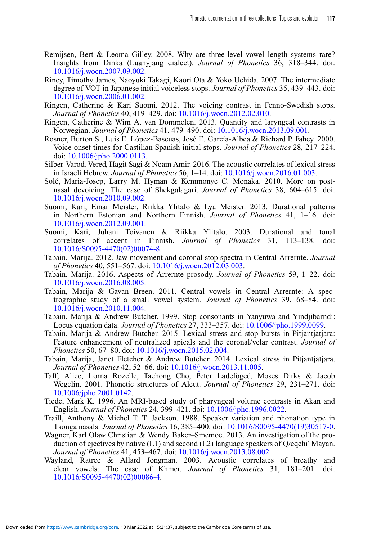- Remijsen, Bert & Leoma Gilley. 2008. Why are three-level vowel length systems rare? Insights from Dinka (Luanyjang dialect). *Journal of Phonetics* 36, 318–344. doi: [10.1016/j.wocn.2007.09.002.](https://doi.org/10.1016/j.wocn.2007.09.002)
- Riney, Timothy James, Naoyuki Takagi, Kaori Ota & Yoko Uchida. 2007. The intermediate degree of VOT in Japanese initial voiceless stops. *Journal of Phonetics* 35, 439–443. doi: [10.1016/j.wocn.2006.01.002.](https://doi.org/10.1016/j.wocn.2006.01.002)
- Ringen, Catherine & Kari Suomi. 2012. The voicing contrast in Fenno-Swedish stops. *Journal of Phonetics* 40, 419–429. doi: [10.1016/j.wocn.2012.02.010.](https://doi.org/10.1016/j.wocn.2012.02.010)
- Ringen, Catherine & Wim A. van Dommelen. 2013. Quantity and laryngeal contrasts in Norwegian. *Journal of Phonetics* 41, 479–490. doi: [10.1016/j.wocn.2013.09.001.](https://doi.org/10.1016/j.wocn.2013.09.001)
- Rosner, Burton S., Luis E. López-Bascuas, José E. García-Albea & Richard P. Fahey. 2000. Voice-onset times for Castilian Spanish initial stops. *Journal of Phonetics* 28, 217–224. doi: [10.1006/jpho.2000.0113.](https://doi.org/10.1006/jpho.2000.0113)
- Silber-Varod, Vered, Hagit Sagi & Noam Amir. 2016. The acoustic correlates of lexical stress in Israeli Hebrew. *Journal of Phonetics* 56, 1–14. doi: [10.1016/j.wocn.2016.01.003.](https://doi.org/10.1016/j.wocn.2016.01.003)
- Solé, Maria-Josep, Larry M. Hyman & Kemmonye C. Monaka. 2010. More on postnasal devoicing: The case of Shekgalagari. *Journal of Phonetics* 38, 604–615. doi: [10.1016/j.wocn.2010.09.002.](https://doi.org/10.1016/j.wocn.2010.09.002)
- Suomi, Kari, Einar Meister, Riikka Ylitalo & Lya Meister. 2013. Durational patterns in Northern Estonian and Northern Finnish. *Journal of Phonetics* 41, 1–16. doi: [10.1016/j.wocn.2012.09.001.](https://doi.org/10.1016/j.wocn.2012.09.001)
- Suomi, Kari, Juhani Toivanen & Riikka Ylitalo. 2003. Durational and tonal correlates of accent in Finnish. *Journal of Phonetics* 31, 113–138. doi: [10.1016/S0095-4470\(02\)00074-8.](https://doi.org/10.1016/S0095-4470(02)00074-8)
- Tabain, Marija. 2012. Jaw movement and coronal stop spectra in Central Arrernte. *Journal of Phonetics* 40, 551–567. doi: [10.1016/j.wocn.2012.03.003.](https://doi.org/10.1016/j.wocn.2012.03.003)
- Tabain, Marija. 2016. Aspects of Arrernte prosody. *Journal of Phonetics* 59, 1–22. doi: [10.1016/j.wocn.2016.08.005.](https://doi.org/10.1016/j.wocn.2016.08.005)
- Tabain, Marija & Gavan Breen. 2011. Central vowels in Central Arrernte: A spectrographic study of a small vowel system. *Journal of Phonetics* 39, 68–84. doi: [10.1016/j.wocn.2010.11.004.](https://doi.org/10.1016/j.wocn.2010.11.004)
- Tabain, Marija & Andrew Butcher. 1999. Stop consonants in Yanyuwa and Yindjibarndi: Locus equation data. *Journal of Phonetics* 27, 333–357. doi: [10.1006/jpho.1999.0099.](https://doi.org/10.1006/jpho.1999.0099)
- Tabain, Marija & Andrew Butcher. 2015. Lexical stress and stop bursts in Pitjantjatjara: Feature enhancement of neutralized apicals and the coronal/velar contrast. *Journal of Phonetics* 50, 67–80. doi: [10.1016/j.wocn.2015.02.004.](https://doi.org/10.1016/j.wocn.2015.02.004)
- Tabain, Marija, Janet Fletcher & Andrew Butcher. 2014. Lexical stress in Pitjantjatjara. *Journal of Phonetics* 42, 52–66. doi: [10.1016/j.wocn.2013.11.005.](https://doi.org/10.1016/j.wocn.2013.11.005)
- Taff, Alice, Lorna Rozelle, Taehong Cho, Peter Ladefoged, Moses Dirks & Jacob Wegelin. 2001. Phonetic structures of Aleut. *Journal of Phonetics* 29, 231–271. doi: [10.1006/jpho.2001.0142.](https://doi.org/10.1006/jpho.2001.0142)
- Tiede, Mark K. 1996. An MRI-based study of pharyngeal volume contrasts in Akan and English. *Journal of Phonetics* 24, 399–421. doi: [10.1006/jpho.1996.0022.](https://doi.org/10.1006/jpho.1996.0022)
- Traill, Anthony & Michel T. T. Jackson. 1988. Speaker variation and phonation type in Tsonga nasals. *Journal of Phonetics* 16, 385–400. doi: [10.1016/S0095-4470\(19\)30517-0.](https://doi.org/10.1016/S0095-4470(19)30517-0)
- Wagner, Karl Olaw Christian & Wendy Baker–Smemoe. 2013. An investigation of the production of ejectives by native  $(L1)$  and second  $(L2)$  language speakers of Q/eqchi' Mayan. *Journal of Phonetics* 41, 453–467. doi: [10.1016/j.wocn.2013.08.002.](https://doi.org/10.1016/j.wocn.2013.08.002)
- Wayland, Ratree & Allard Jongman. 2003. Acoustic correlates of breathy and clear vowels: The case of Khmer. *Journal of Phonetics* 31, 181–201. doi: [10.1016/S0095-4470\(02\)00086-4.](https://doi.org/10.1016/S0095-4470(02)00086-4)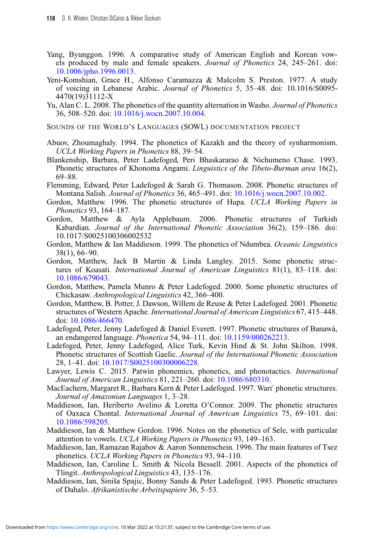- Yang, Byunggon. 1996. A comparative study of American English and Korean vowels produced by male and female speakers. *Journal of Phonetics* 24, 245–261. doi: [10.1006/jpho.1996.0013.](https://doi.org/10.1006/jpho.1996.0013)
- Yeni-Komshian, Grace H., Alfonso Caramazza & Malcolm S. Preston. 1977. A study of voicing in Lebanese Arabic. *Journal of Phonetics* 5, 35–48. doi: 10.1016/S0095- 4470(19)31112-X
- Yu, Alan C. L. 2008. The phonetics of the quantity alternation in Washo. *Journal of Phonetics* 36, 508–520. doi: [10.1016/j.wocn.2007.10.004.](https://doi.org/10.1016/j.wocn.2007.10.004)
- SOUNDS OF THE WORLD'S LANGUAGES (SOWL) DOCUMENTATION PROJECT
- Abuov, Zhoumaghaly. 1994. The phonetics of Kazakh and the theory of synharmonism. *UCLA Working Papers in Phonetics* 88, 39–54.
- Blankenship, Barbara, Peter Ladefoged, Peri Bhaskararao & Nichumeno Chase. 1993. Phonetic structures of Khonoma Angami. *Linguistics of the Tibeto-Burman area* 16(2), 69–88.
- Flemming, Edward, Peter Ladefoged & Sarah G. Thomason. 2008. Phonetic structures of Montana Salish. *Journal of Phonetics* 36, 465–491. doi: [10.1016/j.wocn.2007.10.002.](https://doi.org/10.1016/j.wocn.2007.10.002)
- Gordon, Matthew. 1996. The phonetic structures of Hupa. *UCLA Working Papers in Phonetics* 93, 164–187.
- Gordon, Matthew & Ayla Applebaum. 2006. Phonetic structures of Turkish Kabardian. *Journal of the International Phonetic Association* 36(2), 159–186. doi: 10.1017/S0025100306002532
- Gordon, Matthew & Ian Maddieson. 1999. The phonetics of Ndumbea. *Oceanic Linguistics* 38(1), 66–90.
- Gordon, Matthew, Jack B Martin & Linda Langley. 2015. Some phonetic structures of Koasati. *International Journal of American Linguistics* 81(1), 83–118. doi: [10.1086/679043.](https://doi.org/10.1086/679043)
- Gordon, Matthew, Pamela Munro & Peter Ladefoged. 2000. Some phonetic structures of Chickasaw. *Anthropological Linguistics* 42, 366–400.
- Gordon, Matthew, B. Potter, J. Dawson, Willem de Reuse & Peter Ladefoged. 2001. Phonetic structures of Western Apache. *International Journal of American Linguistics* 67, 415–448. doi: [10.1086/466470.](https://doi.org/10.1086/466470)
- Ladefoged, Peter, Jenny Ladefoged & Daniel Everett. 1997. Phonetic structures of Banawá, an endangered language. *Phonetica* 54, 94–111. doi: [10.1159/000262213.](https://doi.org/10.1159/000262213)
- Ladefoged, Peter, Jenny Ladefoged, Alice Turk, Kevin Hind & St. John Skilton. 1998. Phonetic structures of Scottish Gaelic. *Journal of the International Phonetic Association* 28, 1–41. doi: [10.1017/S0025100300006228.](https://doi.org/10.1017/S0025100300006228)
- Lawyer, Lewis C. 2015. Patwin phonemics, phonetics, and phonotactics. *International Journal of American Linguistics* 81, 221–260. doi: [10.1086/680310.](https://doi.org/10.1086/680310)
- MacEachern, Margaret R., Barbara Kern & Peter Ladefoged. 1997. Wari' phonetic structures. *Journal of Amazonian Languages* 1, 3–28.
- Maddieson, Ian, Heriberto Avelino & Loretta O'Connor. 2009. The phonetic structures of Oaxaca Chontal. *International Journal of American Linguistics* 75, 69–101. doi: [10.1086/598205.](https://doi.org/10.1086/598205)
- Maddieson, Ian & Matthew Gordon. 1996. Notes on the phonetics of Sele, with particular attention to vowels. *UCLA Working Papers in Phonetics* 93, 149–163.
- Maddieson, Ian, Ramazan Rajabov & Aaron Sonnenschein. 1996. The main features of Tsez phonetics. *UCLA Working Papers in Phonetics* 93, 94–110.
- Maddieson, Ian, Caroline L. Smith & Nicola Bessell. 2001. Aspects of the phonetics of Tlingit. *Anthropological Linguistics* 43, 135–176.
- Maddieson, Ian, Siniša Spajic, Bonny Sands & Peter Ladefoged. 1993. Phonetic structures of Dahalo. *Afrikanistische Arbeitspapiere* 36, 5–53.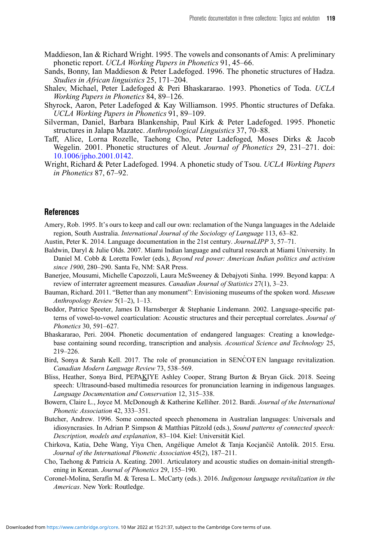- Maddieson, Ian & Richard Wright. 1995. The vowels and consonants of Amis: A preliminary phonetic report. *UCLA Working Papers in Phonetics* 91, 45–66.
- Sands, Bonny, Ian Maddieson & Peter Ladefoged. 1996. The phonetic structures of Hadza. *Studies in African linguistics* 25, 171–204.
- Shalev, Michael, Peter Ladefoged & Peri Bhaskararao. 1993. Phonetics of Toda. *UCLA Working Papers in Phonetics* 84, 89–126.
- Shyrock, Aaron, Peter Ladefoged & Kay Williamson. 1995. Phontic structures of Defaka. *UCLA Working Papers in Phonetics* 91, 89–109.
- Silverman, Daniel, Barbara Blankenship, Paul Kirk & Peter Ladefoged. 1995. Phonetic structures in Jalapa Mazatec. *Anthropological Linguistics* 37, 70–88.
- Taff, Alice, Lorna Rozelle, Taehong Cho, Peter Ladefoged, Moses Dirks & Jacob Wegelin. 2001. Phonetic structures of Aleut. *Journal of Phonetics* 29, 231–271. doi: [10.1006/jpho.2001.0142.](https://doi.org/10.1006/jpho.2001.0142)
- Wright, Richard & Peter Ladefoged. 1994. A phonetic study of Tsou. *UCLA Working Papers in Phonetics* 87, 67–92.

#### **References**

- <span id="page-24-9"></span>Amery, Rob. 1995. It's ours to keep and call our own: reclamation of the Nunga languages in the Adelaide region, South Australia. *International Journal of the Sociology of Language* 113, 63–82.
- <span id="page-24-0"></span>Austin, Peter K. 2014. Language documentation in the 21st century. *JournaLIPP* 3, 57–71.
- <span id="page-24-10"></span>Baldwin, Daryl & Julie Olds. 2007. Miami Indian language and cultural research at Miami University. In Daniel M. Cobb & Loretta Fowler (eds.), *Beyond red power: American Indian politics and activism since 1900*, 280–290. Santa Fe, NM: SAR Press.
- <span id="page-24-3"></span>Banerjee, Mousumi, Michelle Capozzoli, Laura McSweeney & Debajyoti Sinha. 1999. Beyond kappa: A review of interrater agreement measures. *Canadian Journal of Statistics* 27(1), 3–23.
- <span id="page-24-1"></span>Bauman, Richard. 2011. "Better than any monument": Envisioning museums of the spoken word. *Museum Anthropology Review* 5(1–2), 1–13.
- <span id="page-24-7"></span>Beddor, Patrice Speeter, James D. Harnsberger & Stephanie Lindemann. 2002. Language-specific patterns of vowel-to-vowel coarticulation: Acoustic structures and their perceptual correlates. *Journal of Phonetics* 30, 591–627.
- <span id="page-24-2"></span>Bhaskararao, Peri. 2004. Phonetic documentation of endangered languages: Creating a knowledgebase containing sound recording, transcription and analysis. *Acoustical Science and Technology* 25, 219–226.
- <span id="page-24-11"></span>Bird, Sonya & Sarah Kell. 2017. The role of pronunciation in SENCOT EN language revitalization. *Canadian Modern Language Review* 73, 538–569.
- <span id="page-24-13"></span>Bliss, Heather, Sonya Bird, PEPAKIYE Ashley Cooper, Strang Burton & Bryan Gick. 2018. Seeing speech: Ultrasound-based multimedia resources for pronunciation learning in indigenous languages. *Language Documentation and Conservation* 12, 315–338.
- <span id="page-24-6"></span>Bowern, Claire L., Joyce M. McDonough & Katherine Kelliher. 2012. Bardi. *Journal of the International Phonetic Association* 42, 333–351.
- <span id="page-24-5"></span>Butcher, Andrew. 1996. Some connected speech phenomena in Australian languages: Universals and idiosyncrasies. In Adrian P. Simpson & Matthias Pätzold (eds.), *Sound patterns of connected speech: Description, models and explanation*, 83–104. Kiel: Universität Kiel.
- <span id="page-24-4"></span>Chirkova, Katia, Dehe Wang, Yiya Chen, Angélique Amelot & Tanja Kocjančič Antolík. 2015. Ersu. *Journal of the International Phonetic Association* 45(2), 187–211.
- <span id="page-24-8"></span>Cho, Taehong & Patricia A. Keating. 2001. Articulatory and acoustic studies on domain-initial strengthening in Korean. *Journal of Phonetics* 29, 155–190.
- <span id="page-24-12"></span>Coronel-Molina, Serafín M. & Teresa L. McCarty (eds.). 2016. *Indigenous language revitalization in the Americas*. New York: Routledge.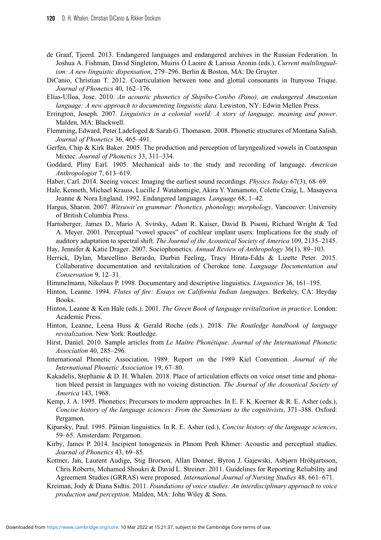- <span id="page-25-3"></span>de Graaf, Tjeerd. 2013. Endangered languages and endangered archives in the Russian Federation. In Joshua A. Fishman, David Singleton, Muiris Ó Laoire & Larissa Aronin (eds.), *Current multilingualism: A new linguistic dispensation*, 279–296. Berlin & Boston, MA: De Gruyter.
- <span id="page-25-19"></span>DiCanio, Christian T. 2012. Coarticulation between tone and glottal consonants in Itunyoso Trique. *Journal of Phonetics* 40, 162–176.
- <span id="page-25-13"></span>Elías-Ulloa, Jose. 2010. *An acoustic phonetics of Shipibo-Conibo (Pano), an endangered Amazonian language: A new approach to documenting linguistic data*. Lewiston, NY: Edwin Mellen Press.
- <span id="page-25-14"></span>Errington, Joseph. 2007. *Linguistics in a colonial world: A story of language, meaning and power*. Malden, MA: Blackwell.
- <span id="page-25-1"></span>Flemming, Edward, Peter Ladefoged & Sarah G. Thomason. 2008. Phonetic structures of Montana Salish. *Journal of Phonetics* 36, 465–491.
- <span id="page-25-16"></span>Gerfen, Chip & Kirk Baker. 2005. The production and perception of laryngealized vowels in Coatzospan Mixtec. *Journal of Phonetics* 33, 311–334.
- <span id="page-25-7"></span>Goddard, Pliny Earl. 1905. Mechanical aids to the study and recording of language. *American Anthropologist* 7, 613–619.
- <span id="page-25-4"></span>Haber, Carl. 2014. Seeing voices: Imaging the earliest sound recordings. *Physics Today* 67(3), 68–69.
- <span id="page-25-0"></span>Hale, Kenneth, Michael Krauss, Lucille J. Watahomigie, Akira Y. Yamamoto, Colette Craig, L. Masayesva Jeanne & Nora England. 1992. Endangered languages. *Language* 68, 1–42.
- <span id="page-25-12"></span>Hargus, Sharon. 2007. *Witsuwit'en grammar: Phonetics, phonology, morphology*. Vancouver: University of British Columbia Press.
- <span id="page-25-18"></span>Harnsberger, James D., Mario A. Svirsky, Adam R. Kaiser, David B. Pisoni, Richard Wright & Ted A. Meyer. 2001. Perceptual "vowel spaces" of cochlear implant users: Implications for the study of auditory adaptation to spectral shift. *The Journal of the Acoustical Society of America* 109, 2135–2145.
- <span id="page-25-15"></span>Hay, Jennifer & Katie Drager. 2007. Sociophonetics. *Annual Review of Anthropology* 36(1), 89–103.
- <span id="page-25-24"></span>Herrick, Dylan, Marcellino Berardo, Durbin Feeling, Tracy Hirata-Edds & Lizette Peter. 2015. Collaborative documentation and revitalization of Cherokee tone. *Language Documentation and Conservation* 9, 12–31.
- <span id="page-25-2"></span>Himmelmann, Nikolaus P. 1998. Documentary and descriptive linguistics. *Linguistics* 36, 161–195.
- <span id="page-25-21"></span>Hinton, Leanne. 1994. *Flutes of fire: Essays on California Indian languages*. Berkeley, CA: Heyday Books.
- <span id="page-25-22"></span>Hinton, Leanne & Ken Hale (eds.). 2001. *The Green Book of language revitalization in practice*. London: Academic Press.
- <span id="page-25-23"></span>Hinton, Leanne, Leena Huss & Gerald Roche (eds.). 2018. *The Routledge handbook of language revitalization*. New York: Routledge.
- <span id="page-25-8"></span>Hirst, Daniel. 2010. Sample articles from *Le Maître Phonétique*. *Journal of the International Phonetic Association* 40, 285–296.
- <span id="page-25-10"></span>International Phonetic Association. 1989. Report on the 1989 Kiel Convention. *Journal of the International Phonetic Association* 19, 67–80.
- <span id="page-25-11"></span>Kakadelis, Stephanie & D. H. Whalen. 2018. Place of articulation effects on voice onset time and phonation bleed persist in languages with no voicing distinction. *The Journal of the Acoustical Society of America* 143, 1968.
- <span id="page-25-5"></span>Kemp, J. A. 1995. Phonetics: Precursors to modern approaches. In E. F. K. Koerner & R. E. Asher (eds.), *Concise history of the language sciences: From the Sumerians to the cognitivists*, 371–388. Oxford: Pergamon.
- <span id="page-25-6"></span>Kiparsky, Paul. 1995. Pāinian linguistics. In R. E. Asher (ed.), *Concise history of the language sciences*, 59–65. Amsterdam: Pergamon.
- <span id="page-25-17"></span>Kirby, James P. 2014. Incipient tonogenesis in Phnom Penh Khmer: Acoustic and perceptual studies. *Journal of Phonetics* 43, 69–85.
- <span id="page-25-9"></span>Kottner, Jan, Laurent Audige, Stig Brorson, Allan Donner, Byron J. Gajewski, Asbjørn Hróbjartsson, Chris Roberts, Mohamed Shoukri & David L. Streiner. 2011. Guidelines for Reporting Reliability and Agreement Studies (GRRAS) were proposed. *International Journal of Nursing Studies* 48, 661–671.
- <span id="page-25-20"></span>Kreiman, Jody & Diana Sidtis. 2011. *Foundations of voice studies: An interdisciplinary approach to voice production and perception*. Malden, MA: John Wiley & Sons.